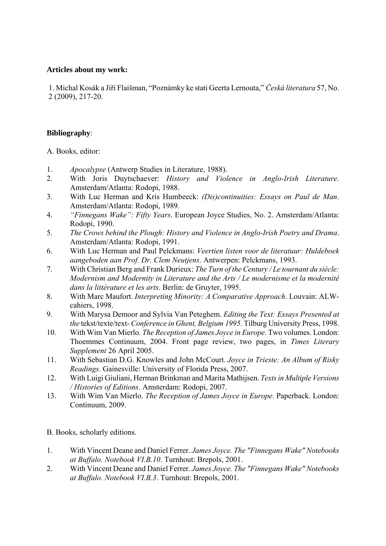## Articles about my work:

1. Michal Kosák a Jiří Flaišman, "Poznámky ke stati Geerta Lernouta," *Česká literatura* 57, No. (2009), 217-20. 2

## Bibliography:

. Books, editor: A

- 1. *Apocalypse* (Antwerp Studies in Literature, 1988).
- 2. With Joris Duytschaever: *History and Violence in Anglo-Irish Literature*. Amsterdam/Atlanta: Rodopi, 1988.
- 3. With Luc Herman and Kris Humbeeck: *(Dis)continuities: Essays on Paul de Man*. Amsterdam/Atlanta: Rodopi, 1989.
- 4. *Finnegans Wake": Fifty Years*. European Joyce Studies, No. 2. Amsterdam/Atlanta: Rodopi, 1990.
- 5. The Crows behind the Plough: History and Violence in Anglo-Irish Poetry and Drama. Amsterdam/Atlanta: Rodopi, 1991.
- 6. With Luc Herman and Paul Pelckmans: *Veertien listen voor de literatuur: Huldeboek aangeboden aan Prof. Dr. Clem Neutjens*. Antwerpen: Pelckmans, 1993.
- 7. *Modernism and Modernity in Literature and the Arts / Le modernisme et la modernité* With Christian Berg and Frank Durieux: *The Turn of the Century / Le tournant du siècle: dans la littérature et les arts*. Berlin: de Gruyter, 1995.
- 8. With Marc Maufort. *Interpreting Minority: A Comparative Approach*. Louvain: ALWcahiers, 1998.
- 9. With Marysa Demoor and Sylvia Van Peteghem. *Editing the Text: Essays Presented at the* tekst/texte/text- *Conference in Ghent, Belgium 1995*. Tilburg University Press, 1998.
- 10. Thoemmes Continuum, 2004. Front page review, two pages, in *Times Literary* With Wim Van Mierlo. *The Reception of James Joyce in Europe.* Two volumes. London: *Supplement* 26 April 2005.
- 11. With Sebastian D.G. Knowles and John McCourt. *Joyce in Trieste: An Album of Risky Readings*. Gainesville: University of Florida Press, 2007.
- 12. With Luigi Giuliani, Herman Brinkman and Marita Mathijsen. Texts in Multiple Versions */ Histories of Editions*. Amsterdam: Rodopi, 2007.
- 13. With Wim Van Mierlo. The Reception of James Joyce in Europe. Paperback. London: Continuum, 2009.

. Books, scholarly editions. B

- 1. *"Finnegans Wake" Notebooks*  With Vincent Deane and Daniel Ferrer. *James Joyce. The at Buffalo. Notebook VI.B.10*. Turnhout: Brepols, 2001.
- 2. *e "Finnegans Wake" Notebooks*  With Vincent Deane and Daniel Ferrer. *James Joyce. Th at Buffalo. Notebook VI.B.3*. Turnhout: Brepols, 2001.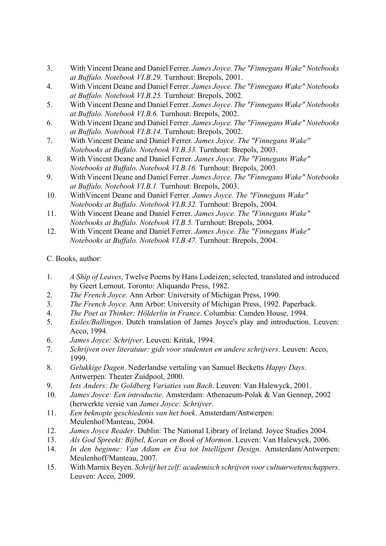- 3. With Vincent Deane and Daniel Ferrer. *James Joyce. The "Finnegans Wake" Notebooks at Buffalo. Notebook VI.B.29.* Turnhout: Brepols, 2001.
- 4. With Vincent Deane and Daniel Ferrer. *James Joyce. The "Finnegans Wake" Notebooks at Buffalo. Notebook VI.B.25.* Turnhout: Brepols, 2002.
- 5. With Vincent Deane and Daniel Ferrer. *James Joyce. The "Finnegans Wake" Notebooks at Buffalo. Notebook VI.B.6.* Turnhout: Brepols, 2002.
- 6. With Vincent Deane and Daniel Ferrer. *James Joyce. The "Finnegans Wake" Notebooks at Buffalo. Notebook VI.B.14.* Turnhout: Brepols, 2002.
- 7. With Vincent Deane and Daniel Ferrer. *James Joyce. The "Finnegans Wake" Notebooks at Buffalo. Notebook VI.B.33.* Turnhout: Brepols, 2003.
- Notebooks at Buffalo. Notebook VI.B.16. Turnhout: Brepols, 2003. 8. With Vincent Deane and Daniel Ferrer. *James Joyce. The "Finnegans Wake"*
- 9. With Vincent Deane and Daniel Ferrer. *James Joyce. The "Finnegans Wake" Notebooks at Buffalo. Notebook VI.B.1.* Turnhout: Brepols, 2003.
- 10. WithVincent Deane and Daniel Ferrer. *James Joyce. The "Finnegans Wake" Notebooks at Buffalo. Notebook VI.B.32.* Turnhout: Brepols, 2004.
- 11. With Vincent Deane and Daniel Ferrer. *James Joyce. The "Finnegans Wake" Notebooks at Buffalo. Notebook VI.B.5.* Turnhout: Brepols, 2004.
- 2. With Vincent Deane and Daniel Ferrer. *James Joyce. The "Finnegans Wake" at Buffalo. Notebook VI.B.47.* Turnhout: Brepols, 2004. *Notebooks*   $12<sup>12</sup>$

C. Books, author:

- 1. *A Ship of Leaves*, Twelve Poems by Hans Lodeizen; selected, translated and introduced by Geert Lernout. Toronto: Aliquando Press, 1982.
- 2. *The French Joyce*. Ann Arbor: University of Michigan Press, 1990.
- 3. *The French Joyce*. Ann Arbor: University of Michigan Press, 1992. Paperback.
- 4. *hinker: Hölderlin in France*. Columbia: Camden House, 1994. *The Poet as T*
- 5. *Exiles/Ballingen*. Dutch translation of James Joyce's play and introduction. Leuven: Acco, 1994.
- 6. *Joyce: Schrijver*. Leuven: Kritak, 1994. *James*
- 7. Schrijven over literatuur: gids voor studenten en andere schrijvers. Leuven: Acco, 1999.
- 8. *Gelukkige Dagen*. Nederlandse vertaling van Samuel Becketts *Happy Days*. Antwerpen: Theater Zuidpool, 2000.
- 9. Iets Anders: De Goldberg Variaties van Bach. Leuven: Van Halewyck, 2001.
- 10. *James Joyce: Een introductie*. Amsterdam: Athenaeum-Polak & Van Gennep, 2002 *Joyce: Schrijver*. (herwerkte versie van *James*
- 11. *Een beknopte geschiedenis van het boek*. Amsterdam/Antwerpen: Meulenhof/Manteau, 2004.
- 12. *James Joyce Reader*. Dublin: The National Library of Ireland. Joyce Studies 2004.
- 13. Als God Spreekt: Bijbel, Koran en Book of Mormon. Leuven: Van Halewyck, 2006.
- 2007. Meulenhoff/Manteau, 14. *In den beginne: Van Adam en Eva tot Intelligent Design*. Amsterdam/Antwerpen:
- 5. With Marnix Beyen. *Schrijf het zelf: academisch schrijven voor cultuurwetenschappers*. 15. Leuven: Acco, 2009.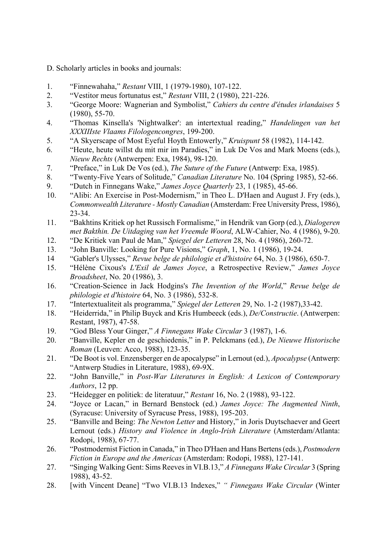- D. Scholarly articles in books and journals:
- 1. "Finnewahaha," *Restant* VIII, 1 (1979-1980), 107-122.
- 2. "Vestitor meus fortunatus est," *Restant* VIII, 2 (1980), 221-226.
- 3. *ahiers du centre d'études irlandaises* 5 "George Moore: Wagnerian and Symbolist," *C* (1980), 55-70.
- 4. "Thomas Kinsella's 'Nightwalker': an intertextual reading," *Handelingen van het XXXIIIste Vlaams Filologencongres*, 199-200.
- 5. "A Skyerscape of Most Eyeful Hoyth Entowerly," *Kruispunt* 58 (1982), 114-142.
- 6. "Heute, heute willst du mit mir im Paradies," in Luk De Vos and Mark Moens (eds.), *Nieuw Rechts* (Antwerpen: Exa, 1984), 98-120.
- 7. "Preface," in Luk De Vos (ed.), *The Suture of the Future* (Antwerp: Exa, 1985).
- 8. "Twenty-Five Years of Solitude," *Canadian Literature* No. 104 (Spring 1985), 52-66.
- 9. **in Finnegans Wake**," *James Joyce Quarterly* 23, 1 (1985), 45-66.
- 10. "Alibi: An Exercise in Post-Modernism," in Theo L. D'Haen and August J. Fry (eds.), *Commonwealth Literature - Mostly Canadian* (Amsterdam: Free University Press, 1986), 23-34.
- 0. *met Bakthin. De Uitdaging van het Vreemde Woord*, ALW-Cahier, No. 4 (1986), 9-2 11. "Bakhtins Kritiek op het Russisch Formalisme," in Hendrik van Gorp (ed.), *Dialogeren*
- 12. "De Kritiek van Paul de Man," *Spiegel der Letteren* 28, No. 4 (1986), 260-72.
- 13. "John Banville: Looking for Pure Visions," *Graph*, 1, No. 1 (1986), 19-24.
- 14 "Gabler's Ulysses," *Revue belge de philologie et d'histoire* 64, No. 3 (1986), 650-7.
- 15. "Hélène Cixous's *L'Exil de James Joyce*, a Retrospective Review," James Joyce *Broadsheet*, No. 20 (1986), 3.
- 4, No. 3 (1986), 532-8. *philologie et d'histoire* 6 16. "Creation-Science in Jack Hodgins's *The Invention of the World*," *Revue belge de*
- 17. "Intertextualiteit als programma," *Spiegel der Letteren* 29, No. 1-2 (1987), 33-42.
- 18. "Heiderrida," in Philip Buyck and Kris Humbeeck (eds.), *De/Constructie*. (Antwerpen: Restant, 1987), 47-58.
- 19. "God Bless Your Ginger," *A Finnegans Wake Circular* 3 (1987), 1-6.
- 20. **"Banville, Kepler en de geschiedenis," in P. Pelckmans (ed.), De Nieuwe Historische** *Roman* (Leuven: Acco, 1988), 123-35.
- 21. "De Boot is vol. Enzensberger en de apocalypse" in Lernout (ed.), *Apocalypse* (Antwerp: "Antwerp Studies in Literature, 1988), 69-9X.
- 22. "John Banville," in *Post-War Literatures in English: A Lexicon of Contemporary Authors*, 12 pp.
- 23. "Heidegger en politiek: de literatuur," *Restant* 16, No. 2 (1988), 93-122.
- 24. (Syracuse: University of Syracuse Press, 1988), 195-203. "Joyce or Lacan," in Bernard Benstock (ed.) *James Joyce: The Augmented Ninth*,
- Lernout (eds.) History and Violence in Anglo-Irish Literature (Amsterdam/Atlanta: 25. "Banville and Being: *The Newton Letter* and History," in Joris Duytschaever and Geert Rodopi, 1988), 67-77.
- 26. **Fiction in Canada," in Theo D'Haen and Hans Bertens (eds.),** *Postmodern* in Theo D'Haen and Hans Bertens (eds.), *Postmodern Fiction in Europe and the Americas* (Amsterdam: Rodopi, 1988), 127-141.
- 27. "Singing Walking Gent: Sims Reeves in VI.B.13," *A Finnegans Wake Circular* 3 (Spring 1988), 43-52.
- 28. [with Vincent Deane] "Two VI.B.13 Indexes," *" Finnegans Wake Circular* (Winter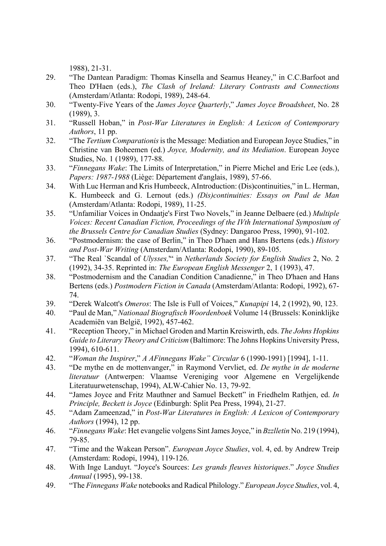1988), 21-31.

- 29. "The Dantean Paradigm: Thomas Kinsella and Seamus Heaney," in C.C.Barfoot and (Amsterdam/Atlanta: Rodopi, 1989), 248-64. Theo D'Haen (eds.), *The Clash of Ireland: Literary Contrasts and Connections*
- 30. "Twenty-Five Years of the *James Joyce Quarterly*," *James Joyce Broadsheet*, No. 28 (1989), 3.
- 31. *Physicarry English: A Lexicon of Contemporary 31. <b>Physical Hotal A Lexicon of Contemporary 31. Authors*, 11 pp.
- 32. "The *Tertium Comparationis* is the Message: Mediation and European Joyce Studies," in Christine van Boheemen (ed.) *Joyce, Modernity, and its Mediation*. European Joyce Studies, No. 1 (1989), 177-88.
- 33. "*Finnegans Wake*: The Limits of Interpretation," in Pierre Michel and Eric Lee (eds.), *Papers: 1987-1988* (Liège: Département d'anglais, 1989), 57-66.
- 34. K. Humbeeck and G. Lernout (eds.) *(Dis)continuities: Essays on Paul de Man* With Luc Herman and Kris Humbeeck, AIntroduction: (Dis)continuities," in L. Herman, (Amsterdam/Atlanta: Rodopi, 1989), 11-25.
- 35. **Confamiliar Voices in Ondaatje's First Two Novels," in Jeanne Delbaere (ed.)** *Multiple* 02. *the Brussels Centre for Canadian Studies* (Sydney: Dangaroo Press, 1990), 91-1 *Voices: Recent Canadian Fiction, Proceedings of the IVth International Symposium of*
- 36. "Postmodernism: the case of Berlin," in Theo D'haen and Hans Bertens (eds.) *History and Post-War Writing* (Amsterdam/Atlanta: Rodopi, 1990), 89-105.
- 37. "The Real `Scandal of *Ulysses*," in *Netherlands Society for English Studies* 2, No. 2 (1992), 34-35. Reprinted in: *The European English Messenger* 2, 1 (1993), 47.
- Bertens (eds.) Postmodern Fiction in Canada (Amsterdam/Atlanta: Rodopi, 1992), 67-38. "Postmodernism and the Canadian Condition Canadienne," in Theo D'haen and Hans 74.
- 39. "Derek Walcott's *Omeros*: The Isle is Full of Voices," *Kunapipi* 14, 2 (1992), 90, 123.
- 40. *ationaal Biografisch Woordenboek* Volume 14 (Brussels: Koninklijke "Paul de Man," *N* Academiën van België, 1992), 457-462.
- 41. "Reception Theory," in Michael Groden and Martin Kreiswirth, eds. *The Johns Hopkins Guide to Literary Theory and Criticism* (Baltimore: The Johns Hopkins University Press, 1994), 610-611.
- 42. "*Woman the Inspirer*," *A AFinnegans Wake" Circular* 6 (1990-1991) [1994], 1-11.
- 43. *in de moderne*  "De mythe en de mottenvanger," in Raymond Vervliet, ed. *De mythe* Literatuurwetenschap, 1994), ALW-Cahier No. 13, 79-92. *literatuur* (Antwerpen: Vlaamse Vereniging voor Algemene en Vergelijkende
- *le, Beckett is Joyce* (Edinburgh: Split Pea Press, 1994), 21-27. *Princip* 44. "James Joyce and Fritz Mauthner and Samuel Beckett" in Friedhelm Rathjen, ed. *In*
- 45. "Adam Zameenzad," in *Post-War Literatures in English: A Lexicon of Contemporary Authors* (1994), 12 pp.
- 46. "*Finnegans Wake*: Het evangelie volgens Sint James Joyce," in *Bzzlletin* No. 219 (1994), 79-85.
- 47. "Time and the Wakean Person". *European Joyce Studies*, vol. 4, ed. by Andrew Treip (Amsterdam: Rodopi, 1994), 119-126.
- 48. With Inge Landuyt. "Joyce's Sources: *Les grands fleuves historiques*." *Joyce Studies Annual* (1995), 99-138.
- 49. "The *Finnegans Wake* notebooks and Radical Philology." *European Joyce Studies*, vol. 4,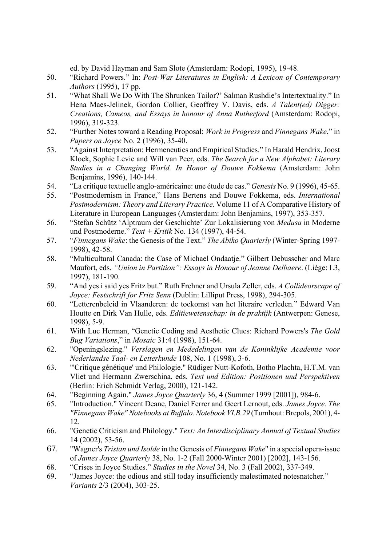ed. by David Hayman and Sam Slote (Amsterdam: Rodopi, 1995), 19-48.

- 50. "Richard Powers." In: *Post-War Literatures in English: A Lexicon of Contemporary Authors* (1995), 17 pp.
- 51. "What Shall We Do With The Shrunken Tailor?' Salman Rushdie's Intertextuality." In Hena Maes-Jelinek, Gordon Collier, Geoffrey V. Davis, eds. *A Talent(ed) Digger: Creations, Cameos, and Essays in honour of Anna Rutherford* (Amsterdam: Rodopi, 1996), 319-323.
- 52. **ing Proposal:** *Work in Progress* and *Finnegans Wake*," in *Papers on Joyce* No. 2 (1996), 35-40.
- Studies in a Changing World. In Honor of Douwe Fokkema (Amsterdam: John 53. "Against Interpretation: Hermeneutics and Empirical Studies." In Harald Hendrix, Joost Kloek, Sophie Levie and Will van Peer, eds. *The Search for a New Alphabet: Literary*  Benjamins, 1996), 140-144.
- 54. "La critique textuelle anglo-américaine: une étude de cas." Genesis No. 9 (1996), 45-65.
- Postmodernism: Theory and Literary Practice. Volume 11 of A Comparative History of 55. "Postmodernism in France," Hans Bertens and Douwe Fokkema, eds. *International*  Literature in European Languages (Amsterdam: John Benjamins, 1997), 353-357.
- 56. und Postmoderne." Text + Kritik No. 134 (1997), 44-54. "Stefan Schütz 'Alptraum der Geschichte' Zur Lokalisierung von *Medusa* in Moderne
- 57. "*Finnegans Wake*: the Genesis of the Text." *The Abiko Quarterly* (Winter-Spring 1997- 1998), 42-58.
- 1997), 181-190. 58. "Multicultural Canada: the Case of Michael Ondaatje." Gilbert Debusscher and Marc Maufort, eds. *"Union in Partition": Essays in Honour of Jeanne Delbaere*. (Liège: L3,
- Joyce: Festschrift for Fritz Senn (Dublin: Lilliput Press, 1998), 294-305. 59. "And yes i said yes Fritz but." Ruth Frehner and Ursula Zeller, eds. *A Collideorscape of*
- Houtte en Dirk Van Hulle, eds. *Editiewetenschap: in de praktijk* (Antwerpen: Genese, 60. "Letterenbeleid in Vlaanderen: de toekomst van het literaire verleden." Edward Van 1998), 5-9.
- 61. With Luc Herman, "Genetic Coding and Aesthetic Clues: Richard Powers's *The Gold Bug Variations*," in *Mosaic* 31:4 (1998), 151-64.
- *voor*  62. "Openingslezing." *Verslagen en Mededelingen van de Koninklijke Academie Nederlandse Taal- en Letterkunde* 108, No. 1 (1998), 3-6.
- 63. Vliet und Hermann Zwerschina, eds. Text und Edition: Positionen und Perspektiven "'Critique génétique' und Philologie." Rüdiger Nutt-Kofoth, Botho Plachta, H.T.M. van (Berlin: Erich Schmidt Verlag, 2000), 121-142.
- 64. **Produce 20 Tames Joyce Quarterly** 36, 4 (Summer 1999 [2001]), 984-6.
- "Finnegans Wake" Notebooks at Buffalo. Notebook VI.B.29 (Turnhout: Brepols, 2001), 4-65. "Introduction." Vincent Deane, Daniel Ferrer and Geert Lernout, eds. *James Joyce. The*  12.
- 66. "Genetic Criticism and Philology." *Text: An Interdisciplinary Annual of Textual Studies* 14 (2002), 53-56.
- 67. "Wagner's *Tristan und Isolde* in the Genesis of *Finnegans Wake*" in a special opera-issue of *James Joyce Quarterly* 38, No. 1-2 (Fall 2000-Winter 2001) [2002], 143-156.
- 68. "Crises in Joyce Studies." *Studies in the Novel* 34, No. 3 (Fall 2002), 337-349.
- 69. "James Joyce: the odious and still today insufficiently malestimated notesnatcher." *Variants* 2/3 (2004), 303-25.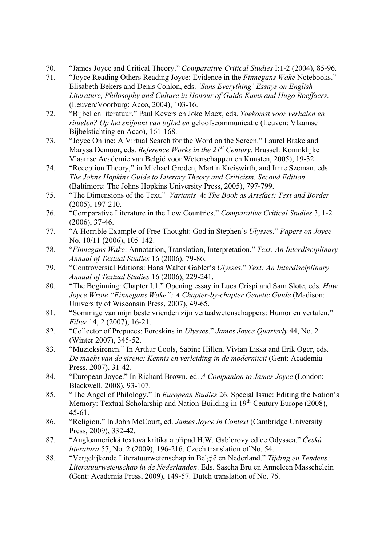- 70. "James Joyce and Critical Theory." *Comparative Critical Studies* I:1-2 (2004), 85-96.
- 71. "Joyce Reading Others Reading Joyce: Evidence in the *Finnegans Wake* Notebooks." Literature, Philosophy and Culture in Honour of Guido Kums and Hugo Roeffaers. Elisabeth Bekers and Denis Conlon, eds. *'Sans Everything' Essays on English*  (Leuven/Voorburg: Acco, 2004), 103-16.
- rituelen? Op het snijpunt van bijbel en geloofscommunicatie (Leuven: Vlaamse 72. "Bijbel en literatuur." Paul Kevers en Joke Maex, eds. *Toekomst voor verhalen en*  Bijbelstichting en Acco), 161-168.
- Marysa Demoor, eds. *Reference Works in the 21<sup>st</sup> Century*. Brussel: Koninklijke 73. "Joyce Online: A Virtual Search for the Word on the Screen." Laurel Brake and Vlaamse Academie van België voor Wetenschappen en Kunsten, 2005), 19-32.
- 74. "Reception Theory," in Michael Groden, Martin Kreiswirth, and Imre Szeman, eds. (Baltimore: The Johns Hopkins University Press, 2005), 797-799. *The Johns Hopkins Guide to Literary Theory and Criticism. Second Edition*
- 75. "The Dimensions of the Text." *Variants* 4: *The Book as Artefact: Text and Border* (2005), 197-210.
- 76. "Comparative Literature in the Low Countries." *Comparative Critical Studies* 3, 1-2 (2006), 37-46.
- 77. "A Horrible Example of Free Thought: God in Stephen's *Ulysses*." *Papers on Joyce* No. 10/11 (2006), 105-142.
- 78. "Finnegans Wake: Annotation, Translation, Interpretation." Text: An Interdisciplinary *Annual of Textual Studies* 16 (2006), 79-86.
- 79. "Controversial Editions: Hans Walter Gabler's *Ulysses." Text: An Interdisciplinary Annual of Textual Studies* 16 (2006), 229-241.
- 80. "The Beginning: Chapter I.1." Opening essay in Luca Crispi and Sam Slote, eds. *How Joyce Wrote "Finnegans Wake": A Chapter-by-chapter Genetic Guide* (Madison: University of Wisconsin Press, 2007), 49-65.
- 81. "Sommige van mijn beste vrienden zijn vertaalwetenschappers: Humor en vertalen." *Filter* 14, 2 (2007), 16-21.
- 82. "Collector of Prepuces: Foreskins in *Ulysses." James Joyce Quarterly* 44, No. 2 (Winter 2007), 345-52.
- *ht van de sirene: Kennis en verleiding in de moderniteit* (Gent: Academia *De mac* 83. "Muzieksirenen." In Arthur Cools, Sabine Hillen, Vivian Liska and Erik Oger, eds. Press, 2007), 31-42.
- 84. "European Joyce." In Richard Brown, ed. *A Companion to James Joyce* (London: Blackwell, 2008), 93-107.
- 85. "The Angel of Philology." In *European Studies* 26. Special Issue: Editing the Nation's Memory: Textual Scholarship and Nation-Building in  $19<sup>th</sup>$ -Century Europe (2008), 45-61.
- 86. "Religion." In John McCourt, ed. *James Joyce in Context* (Cambridge University Press, 2009), 332-42.
- 7. "Angloamerická textová kritika a případ H.W. Gablerovy edice Odyssea." *Česká literatura* 57, No. 2 (2009), 196-216. Czech translation of No. 54. 87.
- 8. "Vergelijkende Literatuurwetenschap in België en Nederland." *Tijding en Tendens:*  (Gent: Academia Press, 2009), 149-57. Dutch translation of No. 76. 88. *Literatuurwetenschap in de Nederlanden*. Eds. Sascha Bru en Anneleen Masschelein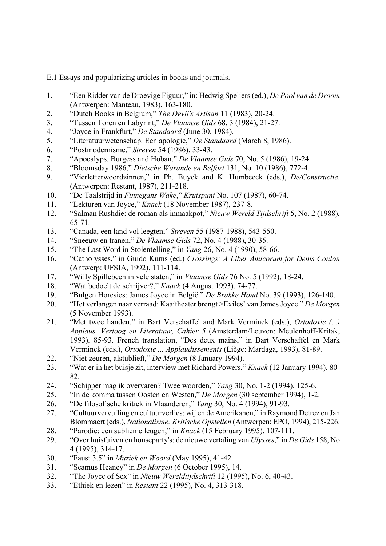E.1 Essays and popularizing articles in books and journals.

- 1. "Een Ridder van de Droevige Figuur," in: Hedwig Speliers (ed.), *De Pool van de Droom* (Antwerpen: Manteau, 1983), 163-180.
- 2. "Dutch Books in Belgium," *The Devil's Artisan* 11 (1983), 20-24.
- 3. *se Gids* 68, 3 (1984), 21-27. "Tussen Toren en Labyrint," *De Vlaam*
- 4. "Joyce in Frankfurt," *De Standaard* (June 30, 1984).
- 5. "Literatuurwetenschap. Een apologie," *De Standaard* (March 8, 1986).
- 6. "Postmodernisme," *Streven* 54 (1986), 33-43.
- 7. "Apocalyps. Burgess and Hoban," *De Vlaamse Gids* 70, No. 5 (1986), 19-24.
- ), 772-4. 8. "Bloomsday 1986," *Dietsche Warande en Belfort* 131, No. 10 (1986
- 9. "Vierletterwoordzinnen," in Ph. Buyck and K. Humbeeck (eds.), *De/Constructie*. (Antwerpen: Restant, 1987), 211-218.
- 10. "De Taalstrijd in *Finnegans Wake*," *Kruispunt* No. 107 (1987), 60-74.
- 11. "Lekturen van Joyce," *Knack* (18 November 1987), 237-8.
- 12. "Salman Rushdie: de roman als inmaakpot," *Nieuw Wereld Tijdschrift* 5, No. 2 (1988), 65-71.
- 13. "Canada, een land vol leegten," *Streven* 55 (1987-1988), 543-550.
- 14. "Sneeuw en tranen," *De Vlaamse Gids* 72, No. 4 (1988), 30-35.
- 15. "The Last Word in Stolentelling," in *Yang* 26, No. 4 (1990), 58-66.
- 16. "Catholysses," in Guido Kums (ed.) *Crossings: A Liber Amicorum for Denis Conlon* (Antwerp: UFSIA, 1992), 111-114.
- 17. "Willy Spillebeen in vele staten," in *Vlaamse Gids* 76 No. 5 (1992), 18-24.
- 18. "Wat bedoelt de schrijver?," *Knack* (4 August 1993), 74-77.
- 19. "Bulgen Horesies: James Joyce in België." *De Brakke Hond* No. 39 (1993), 126-140.
- (5 November 1993). 20. "Het verlangen naar verraad: Kaaitheater brengt >Exiles' van James Joyce." *De Morgen*
- 21. "Met twee handen," in Bart Verschaffel and Mark Verminck (eds.), *Ortodoxie (...)* Applaus. Vertoog en Literatuur, Cahier 5 (Amsterdam/Leuven: Meulenhoff-Kritak, 1993), 85-93. French translation, "Des deux mains," in Bart Verschaffel en Mark Verminck (eds.), *Ortodoxie ... Applaudissements* (Liège: Mardaga, 1993), 81-89.
- 22. "Niet zeuren, alstublieft," *De Morgen* (8 January 1994).
- 23. "Wat er in het buisje zit, interview met Richard Powers," *Knack* (12 January 1994), 80-82.
- 24. "Schipper mag ik overvaren? Twee woorden," *Yang* 30, No. 1-2 (1994), 125-6.
- (30 september 1994), 1-2. 25. "In de komma tussen Oosten en Westen," *De Morgen*
- (1994), 91-93. 26. "De filosofische kritiek in Vlaanderen," *Yang* 30, No. 4
- 27. "Cultuurvervuiling en cultuurverlies: wij en de Amerikanen," in Raymond Detrez en Jan Blommaert (eds.), *Nationalisme: Kritische Opstellen* (Antwerpen: EPO, 1994), 215-226.
- 28. "Parodie: een sublieme leugen," in *Knack* (15 February 1995), 107-111.
- 29. *Sure Sover huisfuiven en houseparty's: de nieuwe vertaling van <i>Ulysses*," in *De Gids* 158, No 4 (1995), 314-17.
- 30. "Faust 3.5" in *Muziek en Woord* (May 1995), 41-42.
- 31. "Seamus Heaney" in *De Morgen* (6 October 1995), 14.
- 32. "The Joyce of Sex" in *Nieuw Wereldtijdschrift* 12 (1995), No. 6, 40-43.
- 33. *thiek en lezen* in *Restant* 22 (1995), No. 4, 313-318.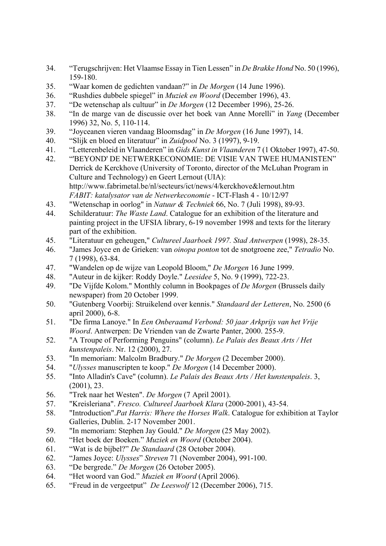- 34. "Terugschrijven: Het Vlaamse Essay in Tien Lessen" in *De Brakke Hond* No. 50 (1996), 159-180.
- 35. "Waar komen de gedichten vandaan?" in *De Morgen* (14 June 1996).
- 36. "Rushdies dubbele spiegel" in *Muziek en Woord* (December 1996), 43.
- 37. "De wetenschap als cultuur" in *De Morgen* (12 December 1996), 25-26.
- 38. *for 'in de marge van de discussie over het boek van Anne Morelli'' in <i>Yang* **(December)** 1996) 32, No. 5, 110-114.
- 39. "Joyceanen vieren vandaag Bloomsdag" in *De Morgen* (16 June 1997), 14.
- 40. "Slijk en bloed en literatuur" in *Zuidpool* No. 3 (1997), 9-19.
- 41. "Letterenbeleid in Vlaanderen" in *Gids Kunst in Vlaanderen* 7 (1 Oktober 1997), 47-50.
- 42. "BEYOND' DE NETWERKECONOMIE: DE VISIE VAN TWEE HUMANISTEN" http://www.fabrimetal.be/nl/secteurs/ict/news/4/kerckhove&lernout.htm Derrick de Kerckhove (University of Toronto, director of the McLuhan Program in Culture and Technology) en Geert Lernout (UIA): *FABIT: katalysator van de Netwerkeconomie* - ICT-Flash 4 - 10/12/97
- 43. "Wetenschap in oorlog" in *Natuur & Techniek* 66, No. 7 (Juli 1998), 89-93.
- painting project in the UFSIA library, 6-19 november 1998 and texts for the literary 44. Schilderatuur: *The Waste Land*. Catalogue for an exhibition of the literature and part of the exhibition.
- 45. "Literatuur en geheugen," *Cultureel Jaarboek 1997. Stad Antwerpen* (1998), 28-35.
- 46. "James Joyce en de Grieken: van *oinopa ponton* tot de snotgroene zee," *Tetradio* No. 7 (1998), 63-84.
- 47. "Wandelen op de wijze van Leopold Bloom," *De Morgen* 16 June 1999.
- 48. ." *Leesidee* 5, No. 9 (1999), 722-23. "Auteur in de kijker: Roddy Doyle
- 49. "De Vijfde Kolom." Monthly column in Bookpages of *De Morgen* (Brussels daily newspaper) from 20 October 1999.
- 6 50. "Gutenberg Voorbij: Struikelend over kennis." *Standaard der Letteren*, No. 2500 ( april 2000), 6-8.
- *jaar Arkprijs van het Vrije*  51. "De firma Lanoye." In *Een Onberaamd Verbond: 50 Woord*. Antwerpen: De Vrienden van de Zwarte Panter, 2000. 255-9.
- 52. "A Troupe of Performing Penguins" (column). *Le Palais des Beaux Arts / Het kunstenpaleis*. Nr. 12 (2000), 27.
- 53. "In memoriam: Malcolm Bradbury." *De Morgen* (2 December 2000).
- 54. *"Ulysses* manuscripten te koop." *De Morgen* (14 December 2000).
- 55. "Into Alladin's Cave" (column). *Le Palais des Beaux Arts / Het kunstenpaleis*. 3, (2001), 23.
- 56. "Trek naar het Westen". *De Morgen* (7 April 2001).
- 57. "Kreisleriana". *Fresco. Cultureel Jaarboek Klara* (2000-2001), 43-54.
- 58. "Introduction".*Pat Harris: Where the Horses Walk*. Catalogue for exhibition at Taylor Galleries, Dublin. 2-17 November 2001.
- 59. "In memoriam: Stephen Jay Gould." *De Morgen* (25 May 2002).
- 60. "Het boek der Boeken." *Muziek en Woord* (October 2004).
- 61. "Wat is de bijbel?" *De Standaard* (28 October 2004).
- 62. "James Joyce: *Ulysses*" *Streven* 71 (November 2004), 991-100.
- 63. "De bergrede." *De Morgen* (26 October 2005).
- 64. "Het woord van God." *Muziek en Woord* (April 2006).
- 65. "Freud in de vergeetput" *De Leeswolf* 12 (December 2006), 715.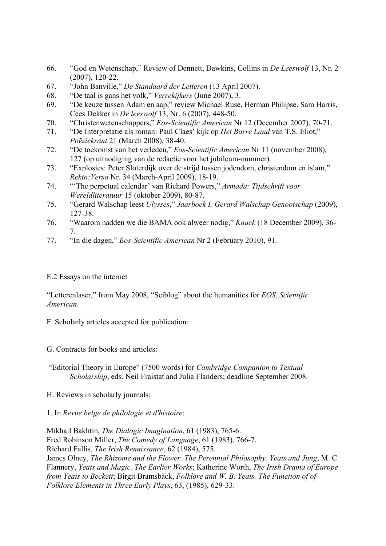- . 2 66. "God en Wetenschap," Review of Dennett, Dawkins, Collins in *De Leeswolf* 13, Nr (2007), 120-22.
- 67. "John Banville," *De Standaard der Letteren* (13 April 2007).
- 68. "De taal is gans het volk," *Verrekijkers* (June 2007), 3.
- 69. "De keuze tussen Adam en aap," review Michael Ruse, Herman Philipse, Sam Harris, , 448-50. Cees Dekker in *De leeswolf* 13, Nr. 6 (2007)
- 70. "Christenwetenschappers," *Eos-Scientific American* Nr 12 (December 2007), 70-71.
- 71. "De Interpretatie als roman: Paul Claes' kijk op *Het Barre Land* van T.S. Eliot," *Poëziekrant* 21 (March 2008), 38-40.
- 72. "De toekomst van het verleden," *Eos-Scientific American* Nr 11 (november 2008), 127 (op uitnodiging van de redactie voor het jubileum-nummer).
- 3. "Explosies: Peter Sloterdijk over de strijd tussen jodendom, christendom en islam," *Rekto:Verso* Nr. 34 (March-April 2009), 18-19. 73.
- 4. "'The perpetual calendar' van Richard Powers," *Armada: Tijdschrift voor Wereldliteratuur* 15 (oktober 2009), 80-87. 74.
- 5. "Gerard Walschap leest *Ulysses*," *Jaarboek I, Gerard Walschap Genootschap* (2009), 75 127-38.
- 76. "Waarom hadden we die BAMA ook alweer nodig," *Knack* (18 December 2009), 36-7.
- 77. "In die dagen," *Eos-Scientific American* Nr 2 (February 2010), 91.

## E.2 Essays on the internet

"Letter enlaser," from May 2008, "Sciblog" about the humanities for *EOS, Scientific merican*. *A*

. Scholarly articles accepted for publication: F

G. Contracts for books and articles:

"Editorial Theory in Europe" (7500 words) for *Cambridge Companion to Textual Scholarship*, eds. Neil Fraistat and Julia Flanders; deadline September 2008.

H. Reviews in scholarly journals:

1. In *Revue belge de philologie et d'histoire*:

Fred Robinson Miller, *The Comedy of Language*, 61 (1983), 766-7. James Olney, *The Rhizome and the Flower. The Perennial Philosophy. Yeats and Jung*; M. C. Flannery, *Yeats and Magic. The Earlier Works*; Katherine Worth, *The Irish Drama of Europe* from Yeats to Beckett; Birgit Bramsbäck, *Folklore and W. B. Yeats. The Function of of* Mikhail Bakhtin, *The Dialogic Imagination*, 61 (1983), 765-6. Richard Fallis, *The Irish Renaissance*, 62 (1984), 575. *Folklore Elements in Three Early Plays*, 63, (1985), 629-33.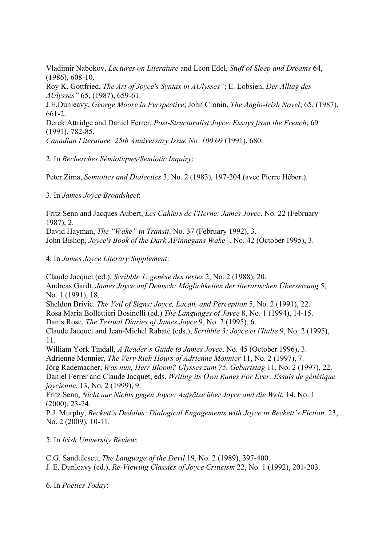Vladimir Nabokov, *Lectures on Literature* and Leon Edel, *Stuff of Sleep and Dreams* 64,  $(1986), 608-10.$ 

*Ulysses"* 65, (1987), 659-61. *A* Roy K. Gottfried, *The Art of Joyce's Syntax in AUlysses"*; E. Lobsien, *Der Alltag des* 

J.E.Dunleavy, *George Moore in Perspective*; John Cronin, *The Anglo-Irish Novel*; 65, (1987),  $661 - 2$ .

 $(1991), 782-85.$ Derek Attridge and Daniel Ferrer, *Post-Structuralist Joyce. Essays from the French*; 69

. *Canadian Literature: 25th Anniversary Issue No. 100* 69 (1991), 680

. In *Recherches Sémiotiques/Semiotic Inquiry*: 2

Peter Zima, Semiotics and Dialectics 3, No. 2 (1983), 197-204 (avec Pierre Hébert).

3. In *James Joyce Broadsheet*:

Fritz Senn and Jacques Aubert, *Les Cahiers de l'Herne: James Joyce*. No. 22 (February 1987), 2. David Hayman, *The "Wake" in Transit*. No. 37 (February 1992), 3. John Bishop, *Joyce's Book of the Dark AFinnegans Wake"*. No. 42 (October 1995), 3.

4. In *James Joyce Literary Supplement*:

Rosa Maria Bollettieri Bosinelli (ed.) The Languages of Joyce 8, No. 1 (1994), 14-15. Claude Jacquet and Jean-Michel Rabaté (eds.), *Scribble 3: Joyce et l'Italie* 9, No. 2 (1995), 1. 1 William York Tindall, *A Reader's Guide to James Joyce*. No. 45 (October 1996), 3. drienne Monnier, *The Very Rich Hours of Adrienne Monnier* 11, No. 2 (1997), 7. A Jörg Rademacher, *Was nun, Herr Bloom? Ulysses zum 75. Geburtstag* 11, No. 2 (1997), 22. Daniel Ferrer and Claude Jacquet, eds, *Writing its Own Runes For Ever: Essais de génétique ycienne*. 13, No. 2 (1999), 9. *jo* Claude Jacquet (ed.), *Scribble 1: genèse des textes* 2, No. 2 (1988), 20. Andreas Gardt, *James Joyce auf Deutsch: Möglichkeiten der literarischen Übersetzung* 5, No. 1 (1991), 18. Sheldon Brivic. *The Veil of Signs: Joyce, Lacan, and Perception* 5, No. 2 (1991), 22. Danis Rose. *The Textual Diaries of James Joyce* 9, No. 2 (1995), 6.

Fritz Senn, *Nicht nur Nichts gegen Joyce: Aufsätze über Joyce and die Welt.* 14, No. 1  $(2000), 23-24.$ 

P.J. Murphy, *Beckett's Dedalus: Dialogical Engagements with Joyce in Beckett's Fiction*. 23, No. 2 (2009), 10-11.

5. In *Irish University Review*:

C.G. Sandulescu, *The Language of the Devil* 19, No. 2 (1989), 397-400.

. E. Dunleavy (ed.), *Re-Viewing Classics of Joyce Criticism* 22, No. 1 (1992), 201-203. J

6. In *Poetics Today*: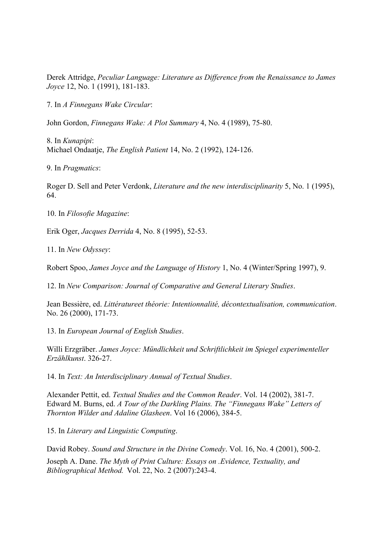Derek Attridge, *Peculiar Language: Literature as Difference from the Renaissance to James Joyce* 12, No. 1 (1991), 181-183.

. In *A Finnegans Wake Circular*: 7

John Gordon, *Finnegans Wake: A Plot Summary* 4, No. 4 (1989), 75-80.

. In *Kunapipi*: 8 *e English Patient* 14, No. 2 (1992), 124-126. Michael Ondaatje, *Th*

9. In *Pragmatics*:

Roger D. Sell and Peter Verdonk, *Literature and the new interdisciplinarity* 5, No. 1 (1995), 64.

10. In *Filosofie Magazine*:

52-53. Erik Oger, *Jacques Derrida* 4, No. 8 (1995),

11. In *New Odyssey*:

Robert Spoo, *James Joyce and the Language of History* 1, No. 4 (Winter/Spring 1997), 9.

2. In *New Comparison: Journal of Comparative and General Literary Studies*. 1

Jean Bessière, ed. Littératureet théorie: Intentionnalité, décontextualisation, communication. No. 26 (2000), 171-73.

. 13. In *European Journal of English Studies*

Willi Erzgräber. James Joyce: Mündlichkeit und Schriftlichkeit im Spiegel experimenteller *Erzählkunst*. 326-27.

. 14. In *Text: An Interdisciplinary Annual of Textual Studies*

Alexander Pettit, ed. *Textual Studies and the Common Reader*. Vol. 14 (2002), 381-7. Edward M. Burns, ed. *A Tour of the Darkling Plains. The "Finnegans Wake" Letters of Thornton Wilder and Adaline Glasheen*. Vol 16 (2006), 384-5.

15. In *Literary and Linguistic Computing*.

David Robey. *Sound and Structure in the Divine Comedy*. Vol. 16, No. 4 (2001), 500-2.

Joseph A. Dane. *The Myth of Print Culture: Essays on .Evidence, Textuality, and Bibliographical Method.* Vol. 22, No. 2 (2007):243-4.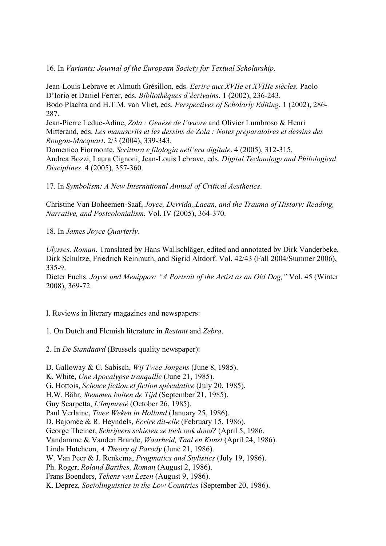6. In *Variants: Journal of the European Society for Textual Scholarship*. 1

Jean-Louis Lebrave et Almuth Grésillon, eds. Ecrire aux XVIIe et XVIIIe siècles. Paolo Bodo Plachta and H.T.M. van Vliet, eds. Perspectives of Scholarly Editing. 1 (2002), 286-87. 2 D'Iorio et Daniel Ferrer, eds. *Bibliothèques d'écrivains*. 1 (2002), 236-243.

*: Genèse de l'œuvre* and Olivier Lumbroso & Henri Jean-Pierre Leduc-Adine, *Zola*  Mitterand, eds. *Les manuscrits et les dessins de Zola : Notes preparatoires et dessins des Rougon-Macquart*. 2/3 (2004), 339-343.

Andrea Bozzi, Laura Cignoni, Jean-Louis Lebrave, eds. *Digital Technology and Philological* Domenico Fiormonte. *Scrittura e filologia nell'era digitale*. 4 (2005), 312-315. *Disciplines*. 4 (2005), 357-360.

7. In *Symbolism: A New International Annual of Critical Aesthetics*. 1

Christine Van Boheemen-Saaf, *Joyce, Derrida,,Lacan, and the Trauma of History: Reading, arrative, and Postcolonialism.* Vol. IV (2005), 364-370. *N*

8. In *James Joyce Quarterly*. 1

*lysses. Roman*. Translated by Hans Wallschläger, edited and annotated by Dirk Vanderbeke, *U* Dirk Schultze, Friedrich Reinmuth, and Sigrid Altdorf. Vol. 42/43 (Fall 2004/Summer 2006), 335-9.

Dieter Fuchs. *Joyce und Menippos: "A Portrait of the Artist as an Old Dog,"* Vol. 45 (Winter 2008), 369-72.

I. Reviews in literary magazines and newspapers:

1. On Dutch and Flemish literature in *Restant* and *Zebra*.

2. In *De Standaard* (Brussels quality newspaper):

, 1985). D. Galloway & C. Sabisch, *Wij Twee Jongens* (June 8 G. Hottois, *Science fiction et fiction spéculative* (July 20, 1985). . H.W. Bähr, *Stemmen buiten de Tijd* (September 21, 1985) D. Bajomée & R. Heyndels, *Ecrire dit-elle* (February 15, 1986). George Theiner, *Schrijvers schieten ze toch ook dood?* (April 5, 1986. Vandamme & Vanden Brande, *Waarheid, Taal en Kunst* (April 24, 1986). Linda Hutcheon, *A Theory of Parody* (June 21, 1986). W. Van Peer & J. Renkema, *Pragmatics and Stylistics* (July 19, 1986). Ph. Roger, *Roland Barthes. Roman* (August 2, 1986). K. White, *Une Apocalypse tranquille* (June 21, 1985). Guy Scarpetta, *L'Impureté* (October 26, 1985). Paul Verlaine, *Twee Weken in Holland* (January 25, 1986). Frans Boenders, *Tekens van Lezen* (August 9, 1986). K. Deprez, *Sociolinguistics in the Low Countries* (September 20, 1986).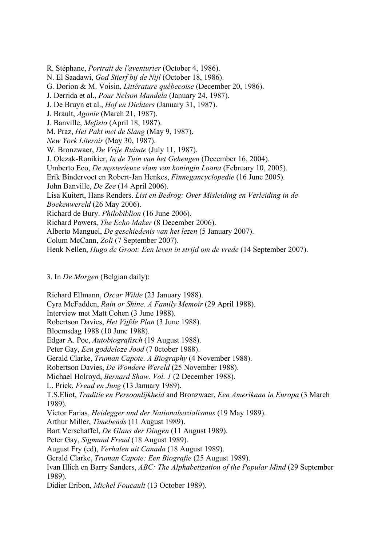R. Stéphane, *Portrait de l'aventurier* (October 4, 1986). G. Dorion & M. Voisin, *Littérature québecoise* (December 20, 1986). J. Derrida et al., *Pour Nelson Mandela* (January 24, 1987). *New York Literair* (May 30, 1987). . Bronzwaer, *De Vrije Ruimte* (July 11, 1987). W J. Olczak-Ronikier, *In de Tuin van het Geheugen* (December 16, 2004). Umberto Eco, *De mysterieuze vlam van koningin Loana* (February 10, 2005). Erik Bindervoet en Robert-Jan Henkes, *Finnegancyclopedie* (16 June 2005). Lisa Kuitert, Hans Renders. *List en Bedrog: Over Misleiding en Verleiding in de* Richard de Bury. *Philobiblion* (16 June 2006). Richard Powers, *The Echo Maker* (8 December 2006). Alberto Manguel, *De geschiedenis van het lezen* (5 January 2007). N. El Saadawi, *God Stierf bij de Nijl* (October 18, 1986). J. De Bruyn et al., *Hof en Dichters* (January 31, 1987). J. Brault, *Agonie* (March 21, 1987). J. Banville, *Mefisto* (April 18, 1987). M. Praz, *Het Pakt met de Slang* (May 9, 1987). John Banville, *De Zee* (14 April 2006). *Boekenwereld* (26 May 2006). Colum McCann, *Zoli* (7 September 2007).

Henk Nellen, *Hugo de Groot: Een leven in strijd om de vrede* (14 September 2007).

## 3. In *De Morgen* (Belgian daily):

Cyra McFadden, *Rain or Shine. A Family Memoir* (29 April 1988). Robertson Davies, *Het Vijfde Plan* (3 June 1988). Gerald Clarke, *Truman Capote. A Biography* (4 November 1988). Robertson Davies, *De Wondere Wereld* (25 November 1988). T.S.Eliot, *Traditie en Persoonlijkheid* and Bronzwaer, *Een Amerikaan in Europa* (3 March Victor Farias, *Heidegger und der Nationalsozialismus* (19 May 1989). Ivan Illich en Barry Sanders, *ABC: The Alphabetization of the Popular Mind* (29 September Richard Ellmann, *Oscar Wilde* (23 January 1988). Interview met Matt Cohen (3 June 1988). Bloemsdag 1988 (10 June 1988). Edgar A. Poe, *Autobiografisch* (19 August 1988). Peter Gay, *Een goddeloze Jood* (7 0ctober 1988). Michael Holroyd, *Bernard Shaw. Vol. 1* (2 December 1988). L. Prick, *Freud en Jung* (13 January 1989). 1989). Arthur Miller, *Timebends* (11 August 1989). Bart Verschaffel, *De Glans der Dingen* (11 August 1989). Peter Gay, *Sigmund Freud* (18 August 1989). August Fry (ed), *Verhalen uit Canada* (18 August 1989). Gerald Clarke, *Truman Capote: Een Biografie* (25 August 1989). 1989). Didier Eribon, *Michel Foucault* (13 October 1989).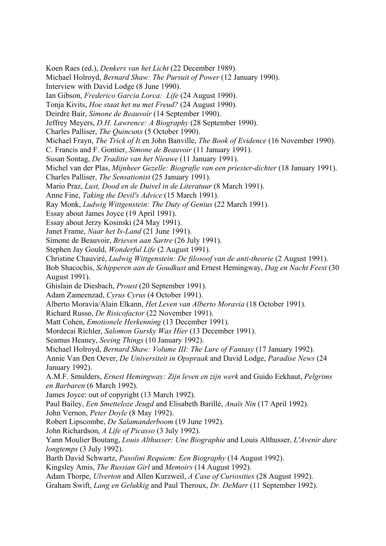Koen Raes (ed.), *Denkers van het Licht* (22 December 1989). ). Michael Holroyd, *Bernard Shaw: The Pursuit of Power* (12 January 1990 Ian Gibson, *Frederico Garcia Lorca: Life* (24 August 1990). Tonja Kivits, *Hoe staat het nu met Freud?* (24 August 1990). Jeffrey Meyers, *D.H. Lawrence: A Biography* (28 September 1990). C. Francis and F. Gontier, *Simone de Beauvoir* (11 January 1991). Susan Sontag, *De Traditie van het Nieuwe* (11 January 1991). Michel van der Plas, *Mijnheer Gezelle: Biografie van een priester-dichter* (18 January 1991). Mario Praz, *Lust, Dood en de Duivel in de Literatuur* (8 March 1991). Ray Monk, *Ludwig Wittgenstein: The Duty of Genius* (22 March 1991). Simone de Beauvoir, *Brieven aan Sartre* (26 July 1991). Christine Chauviré, *Ludwig Wittgenstein: De filosoof van de anti-theorie* (2 August 1991). Bob Shacochis, *Schipperen aan de Goudkust* and Ernest Hemingway, *Dag en Nacht Feest* (30 Ghislain de Diesbach, *Proust* (20 September 1991). Alberto Moravia/Alain Elkann, *Het Leven van Alberto Moravia* (18 October 1991). Matt Cohen, *Emotionele Herkenning* (13 December 1991). 4 Annie Van Den Oever, *De Universiteit in Opspraak* and David Lodge, *Paradise News* (2 en Barbaren (6 March 1992).  *Smetteloze Jeugd* and Elisabeth Barillé, *Anaïs Nin* (17 April 1992). Paul Bailey, *Een* Robert Lipscombe, *De Salamanderboom* (19 June 1992). Yann Moulier Boutang, *Louis Althusser: Une Biographie* and Louis Althusser, *L'Avenir dure* Barth David Schwartz, *Pasolini Requiem: Een Biography* (14 August 1992). Graham Swift, *Lang en Gelukkig* and Paul Theroux, *Dr. DeMarr* (11 September 1992). Interview with David Lodge (8 June 1990). Deirdre Bair, *Simone de Beauvoir* (14 September 1990). Charles Palliser, *The Quincunx* (5 October 1990). Michael Frayn, *The Trick of It* en John Banville, *The Book of Evidence* (16 November 1990). Charles Palliser, *The Sensationist* (25 January 1991). Anne Fine, *Taking the Devil's Advice* (15 March 1991). Essay about James Joyce (19 April 1991). Essay about Jerzy Kosinski (24 May 1991). Janet Frame, *Naar het Is-Land* (21 June 1991). Stephen Jay Gould, *Wonderful Life* (2 August 1991). August 1991). Adam Zameenzad, *Cyrus Cyrus* (4 October 1991). Richard Russo, *De Risicofactor* (22 November 1991). Mordecai Richler, *Salomon Gursky Was Hier* (13 December 1991). Seamus Heaney, *Seeing Things* (10 January 1992). Michael Holroyd, *Bernard Shaw: Volume III: The Lure of Fantasy* (17 January 1992). January 1992). A.M.F. Smulders, *Ernest Hemingway: Zijn leven en zijn werk* and Guido Eekhaut, *Pelgrims*  James Joyce: out of copyright (13 March 1992). John Vernon, *Peter Doyle* (8 May 1992). John Richardson, *A Life of Picasso* (3 July 1992). *longtemps* (3 July 1992). Kingsley Amis, *The Russian Girl* and *Memoirs* (14 August 1992). Adam Thorpe, *Ulverton* and Allen Kurzweil, *A Case of Curiosities* (28 August 1992).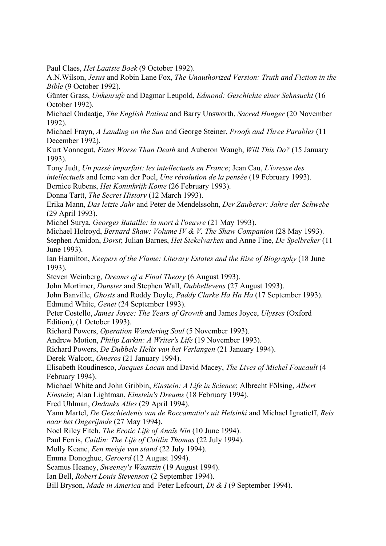Paul Claes, *Het Laatste Boek* (9 October 1992).

A.N. Wilson, *Jesus* and Robin Lane Fox, *The Unauthorized Version: Truth and Fiction in the Bible* (9 October 1992).

Günter Grass, *Unkenrufe* and Dagmar Leupold, *Edmond: Geschichte einer Sehnsucht* (16 October 1992).

Michael Ondaatje, *The English Patient* and Barry Unsworth, *Sacred Hunger* (20 November 1992).

Michael Frayn, *A Landing on the Sun* and George Steiner, *Proofs and Three Parables* (11 December 1992).

Kurt Vonnegut, *Fates Worse Than Death* and Auberon Waugh, *Will This Do?* (15 January 1993).

Tony Judt, *Un passé imparfait: les intellectuels en France*; Jean Cau, *L'ivresse des* Bernice Rubens, *Het Koninkrijk Kome* (26 February 1993). *intellectuels* and Ieme van der Poel, *Une révolution de la pensée* (19 February 1993).

Donna Tartt, *The Secret History* (12 March 1993).

Erika Mann, *Das letzte Jahr* and Peter de Mendelssohn, *Der Zauberer: Jahre der Schwebe* (29 April 1993).

Michel Surya, *Georges Bataille: la mort à l'oeuvre* (21 May 1993).

Michael Holroyd, *Bernard Shaw: Volume IV & V. The Shaw Companion* (28 May 1993).

*Dorst*; Julian Barnes, *Het Stekelvarken* and Anne Fine, *De Spelbreker* (11 Stephen Amidon, June 1993).

Ian Hamilton, *Keepers of the Flame: Literary Estates and the Rise of Biography* (18 June 1993).

Steven Weinberg, *Dreams of a Final Theory* (6 August 1993).

John Mortimer, *Dunster* and Stephen Wall, *Dubbellevens* (27 August 1993).

John Banville, *Ghosts* and Roddy Doyle, *Paddy Clarke Ha Ha Ha* (17 September 1993). Edmund White, *Genet* (24 September 1993).

Peter Costello, *James Joyce: The Years of Growth* and James Joyce, *Ulysses* (Oxford Edition), (1 October 1993).

Richard Powers, *Operation Wandering Soul* (5 November 1993).

Andrew Motion, *Philip Larkin: A Writer's Life* (19 November 1993).

Richard Powers, *De Dubbele Helix van het Verlangen* (21 January 1994).

Derek Walcott, *Omeros* (21 January 1994).

Elisabeth Roudinesco, *Jacques Lacan* and David Macey, *The Lives of Michel Foucault* (4 February 1994).

Michael White and John Gribbin, *Einstein: A Life in Science*; Albrecht Fölsing, *Albert* Einstein; Alan Lightman, *Einstein's Dreams* (18 February 1994).

Fred Uhlman, *Ondanks Alles* (29 April 1994).

Yann Martel, *De Geschiedenis van de Roccamatio's uit Helsinki* and Michael Ignatieff, Reis *naar het Ongerijmde* (27 May 1994).

Noel Riley Fitch, *The Erotic Life of Anaïs Nin* (10 June 1994).

Paul Ferris, *Caitlin: The Life of Caitlin Thomas* (22 July 1994).

Molly Keane, *Een meisje van stand* (22 July 1994).

Emma Donoghue, *Geroerd* (12 August 1994).

Seamus Heaney, *Sweeney's Waanzin* (19 August 1994).

Ian Bell, *Robert Louis Stevenson* (2 September 1994).

Bill Bryson, *Made in America* and Peter Lefcourt, *Di & I* (9 September 1994).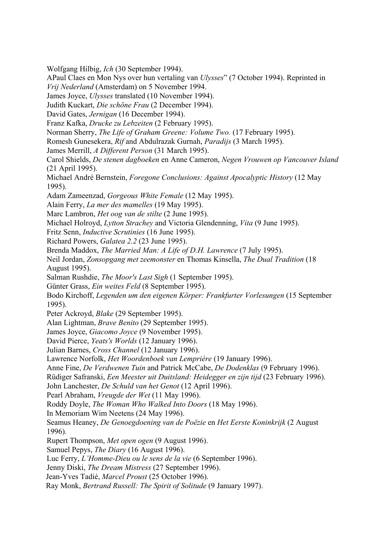Wolfgang Hilbig, *Ich* (30 September 1994).

APaul Claes en Mon Nys over hun vertaling van *Ulysses*" (7 October 1994). Reprinted in 4. *Vrij Nederland* (Amsterdam) on 5 November 199

James Joyce, *Ulysses* translated (10 November 1994).

Judith Kuckart, *Die schöne Frau* (2 December 1994).

David Gates, *Jernigan* (16 December 1994).

Franz Kafka, *Drucke zu Lebzeiten* (2 February 1995).

Norman Sherry, *The Life of Graham Greene: Volume Two.* (17 February 1995).

Romesh Gunesekera, *Rif* and Abdulrazak Gurnah, *Paradijs* (3 March 1995).

James Merrill, *A Different Person* (31 March 1995).

Carol Shields, *De stenen dagboeken* en Anne Cameron, *Negen Vrouwen op Vancouver Island* (21 April 1995).

Michael André Bernstein, *Foregone Conclusions: Against Apocalyptic History* (12 May 1995).

Adam Zameenzad, *Gorgeous White Female* (12 May 1995).

Alain Ferry, *La mer des mamelles* (19 May 1995).

Marc Lambron, *Het oog van de stilte* (2 June 1995).

Michael Holroyd, *Lytton Strachey* and Victoria Glendenning, *Vita* (9 June 1995).

Fritz Senn, *Inductive Scrutinies* (16 June 1995).

Richard Powers, *Galatea 2.2* (23 June 1995).

Brenda Maddox, *The Married Man: A Life of D.H. Lawrence* (7 July 1995).

Neil Jordan, *Zonsopgang met zeemonster* en Thomas Kinsella, *The Dual Tradition* (18 August 1995).

Salman Rushdie, *The Moor's Last Sigh* (1 September 1995).

Günter Grass, *Ein weites Feld* (8 September 1995).

Bodo Kirchoff, *Legenden um den eigenen Körper: Frankfurter Vorlesungen* (15 September 1995).

Peter Ackroyd, *Blake* (29 September 1995).

Alan Lightman, *Brave Benito* (29 September 1995).

James Joyce, *Giacomo Joyce* (9 November 1995).

David Pierce, *Yeats's Worlds* (12 January 1996).

Julian Barnes, *Cross Channel* (12 January 1996).

Lawrence Norfolk, *Het Woordenboek van Lemprière* (19 January 1996).

). Anne Fine, *De Verdwenen Tuin* and Patrick McCabe, *De Dodenklas* (9 February 1996

Rüdiger Safranski, *Een Meester uit Duitsland: Heidegger en zijn tijd* (23 February 1996).

John Lanchester, *De Schuld van het Genot* (12 April 1996).

Pearl Abraham, *Vreugde der Wet* (11 May 1996).

Roddy Doyle, *The Woman Who Walked Into Doors* (18 May 1996).

In Memoriam Wim Neetens (24 May 1996).

Seamus Heaney, *De Genoegdoening van de Poëzie en Het Eerste Koninkrijk* (2 August 1996).

Rupert Thompson, Met open ogen (9 August 1996).

Samuel Pepys, *The Diary* (16 August 1996).

Luc Ferry, *L'Homme-Dieu ou le sens de la vie* (6 September 1996).

Jenny Diski, *The Dream Mistress* (27 September 1996).

Jean-Yves Tadié, *Marcel Proust* (25 October 1996).

Ray Monk, *Bertrand Russell: The Spirit of Solitude* (9 January 1997).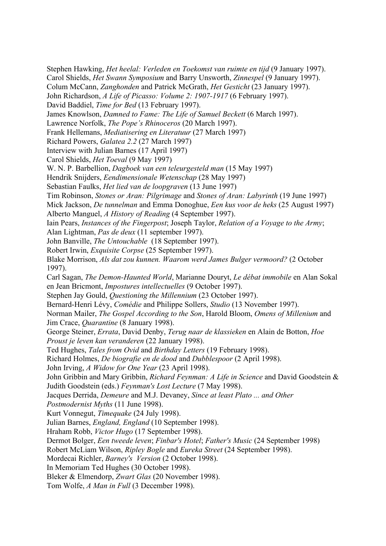Carol Shields, *Het Swann Symposium* and Barry Unsworth, *Zinnespel* (9 January 1997).  *Gesticht* (23 January 1997). Colum McCann, *Zanghonden* and Patrick McGrath, *Het* John Richardson, *A Life of Picasso: Volume 2: 1907-1917* (6 February 1997). James Knowlson, *Damned to Fame: The Life of Samuel Beckett* (6 March 1997). W. N. P. Barbellion, *Dagboek van een teleurgesteld man* (15 May 1997) Sebastian Faulks, *Het lied van de loopgraven* (13 June 1997) Tim Robinson, *Stones or Aran: Pilgrimage* and *Stones of Aran: Labyrinth* (19 June 1997) Mick Jackson, *De tunnelman* and Emma Donoghue, *Een kus voor de heks* (25 August 1997) Alberto Manguel, *A History of Reading* (4 September 1997). Robert Irwin, *Exquisite Corpse* (25 September 1997). Blake Morrison, *Als dat zou kunnen. Waarom werd James Bulger vermoord?* (2 October Carl Sagan, *The Demon-Haunted World*, Marianne Douryt, Le débat immobile en Alan Sokal Bernard-Henri Lévy, *Comédie* and Philippe Sollers, *Studio* (13 November 1997). Norman Mailer, *The Gospel According to the Son*, Harold Bloom, *Omens of Millenium* and George Steiner, *Errata*, David Denby, *Terug naar de klassieken* en Alain de Botton, *Hoe* Ted Hughes, *Tales from Ovid* and *Birthday Letters* (19 February 1998). John Gribbin and Mary Gribbin, *Richard Feynman: A Life in Science* and David Goodstein & Judith Goodstein (eds.) Feynman's Lost Lecture (7 May 1998). Jacques Derrida, *Demeure* and M.J. Devaney, *Since at least Plato ... and Other* Dermot Bolger, *Een tweede leven*; *Finbar's Hotel*; *Father's Music* (24 September 1998) Mordecai Richler, *Barney's Version* (2 October 1998). Stephen Hawking, *Het heelal: Verleden en Toekomst van ruimte en tijd* (9 January 1997). David Baddiel, *Time for Bed* (13 February 1997). Lawrence Norfolk, *The Pope's Rhinoceros* (20 March 1997). Frank Hellemans, *Mediatisering en Literatuur* (27 March 1997) Richard Powers, *Galatea 2.2* (27 March 1997) Interview with Julian Barnes (17 April 1997) Carol Shields, *Het Toeval* (9 May 1997) Hendrik Snijders, *Eendimensionale Wetenschap* (28 May 1997) Iain Pears, *Instances of the Fingerpost*; Joseph Taylor, *Relation of a Voyage to the Army*; Alan Lightman, *Pas de deux* (11 september 1997). John Banville, *The Untouchable* (18 September 1997). 1997). en Jean Bricmont, *Impostures intellectuelles* (9 October 1997). Stephen Jay Gould, *Questioning the Millennium* (23 October 1997). Jim Crace, *Quarantine* (8 January 1998). *Proust je leven kan veranderen* (22 January 1998). Richard Holmes, *De biografie en de dood* and *Dubblespoor* (2 April 1998). John Irving, *A Widow for One Year* (23 April 1998). *Postmodernist Myths* (11 June 1998). Kurt Vonnegut, *Timequake* (24 July 1998). Julian Barnes, *England, England* (10 September 1998). Hraham Robb, *Victor Hugo* (17 September 1998). Robert McLiam Wilson, *Ripley Bogle* and *Eureka Street* (24 September 1998). In Memoriam Ted Hughes (30 October 1998). Bleker & Elmendorp, *Zwart Glas* (20 November 1998). Tom Wolfe, *A Man in Full* (3 December 1998).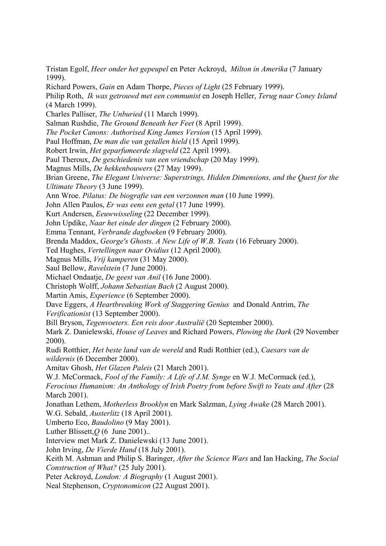*Milton in Amerika* (7 January Tristan Egolf, *Heer onder het gepeupel* en Peter Ackroyd, 1999).

Richard Powers, *Gain* en Adam Thorpe, *Pieces of Light* (25 February 1999).

Philip Roth, *Ik was getrouwd met een communist* en Joseph Heller, *Terug naar Coney Island* (4 March 1999).

Charles Palliser, *The Unburied* (11 March 1999).

Salman Rushdie, *The Ground Beneath her Feet* (8 April 1999).

The Pocket Canons: Authorised King James Version (15 April 1999).

Paul Hoffman, *De man die van getallen hield* (15 April 1999).

Robert Irwin, *Het geparfumeerde slagveld* (22 April 1999).

Paul Theroux, *De geschiedenis van een vriendschap* (20 May 1999).

Magnus Mills, *De hekkenbouwers* (27 May 1999).

Brian Greene, *The Elegant Universe: Superstrings, Hidden Dimensions, and the Quest for the Ultimate Theory* (3 June 1999).

Ann Wroe. Pilatus: De biografie van een verzonnen man (10 June 1999).

John Allen Paulos, *Er was eens een getal* (17 June 1999).

Kurt Andersen, *Eeuwwisseling* (22 December 1999).

John Updike, *Naar het einde der dingen* (2 February 2000).

Emma Tennant, Verbrande dagboeken (9 February 2000).

Brenda Maddox, *George's Ghosts. A New Life of W.B. Yeats* (16 February 2000).

Ted Hughes, Vertellingen naar Ovidius (12 April 2000).

Magnus Mills, *Vrij kamperen* (31 May 2000).

Saul Bellow, *Ravelstein* (7 June 2000).

Michael Ondaatje, *De geest van Anil* (16 June 2000).

Christoph Wolff, *Johann Sebastian Bach* (2 August 2000).

Martin Amis, *Experience* (6 September 2000).

Dave Eggers, *A Heartbreaking Work of Staggering Genius* and Donald Antrim, *The* 

*Verificationist* (13 September 2000).

Bill Bryson, *Tegenvoeters. Een reis door Australië* (20 September 2000).

Mark Z. Danielewski, *House of Leaves* and Richard Powers, *Plowing the Dark* (29 November 2000).

Rudi Rotthier, *Het beste land van de wereld* and Rudi Rotthier (ed.), *Caesars van de wildernis* (6 December 2000).

Amitav Ghosh, *Het Glazen Paleis* (21 March 2001).

W.J. McCormack, *Fool of the Family: A Life of J.M. Synge* en W.J. McCormack (ed.),

Ferocious Humanism: An Anthology of Irish Poetry from before Swift to Yeats and After (28 March 2001).

Jonathan Lethem, *Motherless Brooklyn* en Mark Salzman, *Lying Awake* (28 March 2001).

W.G. Sebald, *Austerlitz* (18 April 2001).

Umberto Eco, *Baudolino* (9 May 2001).

Luther Blissett,  $O(6 \text{ June } 2001)$ ..

Interview met Mark Z. Danielewski (13 June 2001).

John Irving, *De Vierde Hand* (18 July 2001).

Keith M. Ashman and Philip S. Baringer, *After the Science Wars* and Ian Hacking, *The Social Construction of What?* (25 July 2001).

Peter Ackroyd, *London: A Biography* (1 August 2001).

Neal Stephenson, Cryptonomicon (22 August 2001).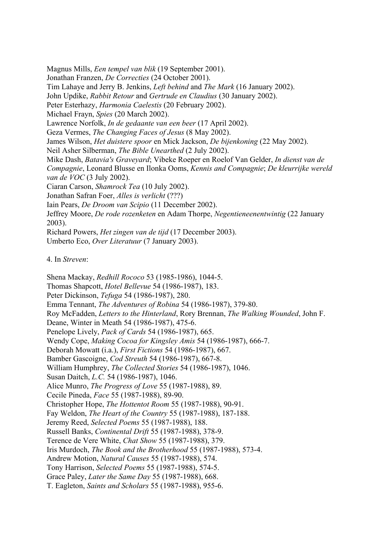Magnus Mills, *Een tempel van blik* (19 September 2001). Jonathan Franzen, *De Correcties* (24 October 2001). Tim Lahaye and Jerry B. Jenkins, *Left behind* and *The Mark* (16 January 2002). John Updike, *Rabbit Retour* and *Gertrude en Claudius* (30 January 2002). Lawrence Norfolk, *In de gedaante van een beer* (17 April 2002). Neil Asher Silberman, *The Bible Unearthed* (2 July 2002). Mike Dash, *Batavia's Graveyard*; Vibeke Roeper en Roelof Van Gelder, In dienst van de *e kleurrijke wereld Compagnie*, Leonard Blusse en Ilonka Ooms, *Kennis and Compagnie*; *D* Iain Pears, *De Droom van Scipio* (11 December 2002). Jeffrey Moore, *De rode rozenketen* en Adam Thorpe, *Negentieneenentwintig* (22 January Peter Esterhazy, *Harmonia Caelestis* (20 February 2002). Michael Frayn, *Spies* (20 March 2002). Geza Vermes, *The Changing Faces of Jesus* (8 May 2002). James Wilson, *Het duistere spoor* en Mick Jackson, *De bijenkoning* (22 May 2002). *van de VOC* (3 July 2002). Ciaran Carson, *Shamrock Tea* (10 July 2002). Jonathan Safran Foer, *Alles is verlicht* (???) 2003). Richard Powers, *Het zingen van de tijd* (17 December 2003). Umberto Eco, *Over Literatuur* (7 January 2003).

4. In *Streven*:

Emma Tennant, *The Adventures of Robina* 54 (1986-1987), 379-80. *The Walking Wounded*, John F. Roy McFadden, *Letters to the Hinterland*, Rory Brennan, Penelope Lively, *Pack of Cards* 54 (1986-1987), 665. Wendy Cope, *Making Cocoa for Kingsley Amis* 54 (1986-1987), 666-7. . Deborah Mowatt (i.a.), *First Fictions* 54 (1986-1987), 667 ), 667-8. Bamber Gascoigne, *Cod Streuth* 54 (1986-1987 William Humphrey, *The Collected Stories* 54 (1986-1987), 1046. Susan Daitch, *L.C.* 54 (1986-1987), 1046. Alice Munro, *The Progress of Love* 55 (1987-1988), 89. Christopher Hope, *The Hottentot Room* 55 (1987-1988), 90-91. Fay Weldon, *The Heart of the Country* 55 (1987-1988), 187-188. *ift* 55 (1987-1988), 378-9. Russell Banks, *Continental Dr* Terence de Vere White, *Chat Show* 55 (1987-1988), 379. Iris Murdoch, *The Book and the Brotherhood* 55 (1987-1988), 573-4. Andrew Motion, *Natural Causes* 55 (1987-1988), 574. Shena Mackay, *Redhill Rococo* 53 (1985-1986), 1044-5. Thomas Shapcott, *Hotel Bellevue* 54 (1986-1987), 183. Peter Dickinson, *Tefuga* 54 (1986-1987), 280. Deane, Winter in Meath 54 (1986-1987), 475-6. Cecile Pineda, *Face* 55 (1987-1988), 89-90. Jeremy Reed, *Selected Poems* 55 (1987-1988), 188. Tony Harrison, *Selected Poems* 55 (1987-1988), 574-5. Grace Paley, *Later the Same Day* 55 (1987-1988), 668. T. Eagleton, *Saints and Scholars* 55 (1987-1988), 955-6.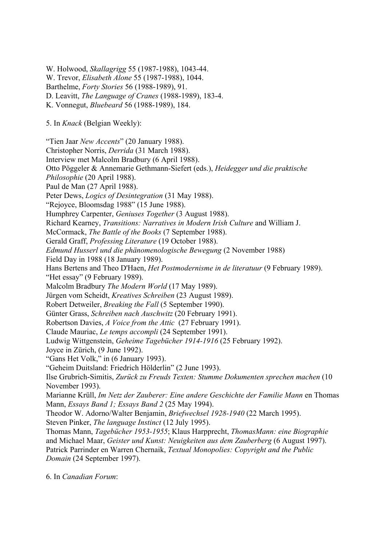W. Trevor, *Elisabeth Alone* 55 (1987-1988), 1044. D. Leavitt, *The Language of Cranes* (1988-1989), 183-4. Otto Pöggeler & Annemarie Gethmann-Siefert (eds.), *Heidegger und die praktische* "Rejoyce, Bloomsdag 1988" (15 June 1988). Richard Kearney, *Transitions: Narratives in Modern Irish Culture* and William J. Gerald Graff, *Professing Literature* (19 October 1988). Hans Bertens and Theo D'Haen, *Het Postmodernisme in de literatuur* (9 February 1989). Malcolm Bradbury *The Modern World* (17 May 1989). Jürgen vom Scheidt, *Kreatives Schreiben* (23 August 1989). Robert Detweiler, *Breaking the Fall* (5 September 1990). Robertson Davies, *A Voice from the Attic* (27 February 1991). Claude Mauriac, *Le temps accompli* (24 September 1991). Ludwig Wittgenstein, *Geheime Tagebücher 1914-1916* (25 February 1992). Ilse Grubrich-Simitis, *Zurück zu Freuds Texten: Stumme Dokumenten sprechen machen* (10 Marianne Krüll, *Im Netz der Zauberer: Eine andere Geschichte der Familie Mann* en Thomas Theodor W. Adorno/Walter Benjamin, *Briefwechsel 1928-1940* (22 March 1995). Thomas Mann, *Tagebücher 1953-1955*; Klaus Harpprecht, *ThomasMann: eine Biographie* and Michael Maar, *Geister und Kunst: Neuigkeiten aus dem Zauberberg* (6 August 1997). Patrick Parrinder en Warren Chernaik, *Textual Monopolies: Copyright and the Public* W. Holwood, *Skallagrigg* 55 (1987-1988), 1043-44. Barthelme, *Forty Stories* 56 (1988-1989), 91. K. Vonnegut, *Bluebeard* 56 (1988-1989), 184. 5. In *Knack* (Belgian Weekly): "Tien Jaar *New Accents*" (20 January 1988). Christopher Norris, *Derrida* (31 March 1988). Interview met Malcolm Bradbury (6 April 1988). *Philosophie* (20 April 1988). Paul de Man (27 April 1988). Peter Dews, *Logics of Desintegration* (31 May 1988). Humphrey Carpenter, *Geniuses Together* (3 August 1988). McCormack, *The Battle of the Books* (7 September 1988). *Edmund Husserl und die phänomenologische Bewegung* (2 November 1988) Field Day in 1988 (18 January 1989). "Het essay" (9 February 1989). Günter Grass, *Schreiben nach Auschwitz* (20 February 1991). Joyce in Zürich, (9 June 1992). "Gans Het Volk," in (6 January 1993). "Geheim Duitsland: Friedrich Hölderlin" (2 June 1993). November 1993). Mann, *Essays Band 1; Essays Band 2* (25 May 1994). Steven Pinker, *The language Instinct* (12 July 1995). *Domain* (24 September 1997).

6. In *Canadian Forum*: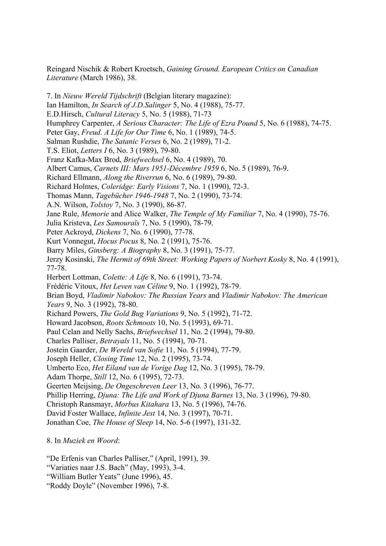*Literature* (March 1986), 38. Reingard Nischik & Robert Kroetsch, *Gaining Ground. European Critics on Canadian* 

Humphrey Carpenter, *A Serious Character: The Life of Ezra Pound* 5, No. 6 (1988), 74-75. Albert Camus, *Carnets III: Mars 1951-Décembre 1959* 6, No. 5 (1989), 76-9. Richard Holmes, *Coleridge: Early Visions* 7, No. 1 (1990), 72-3. Jane Rule, *Memorie* and Alice Walker, *The Temple of My Familiar* 7, No. 4 (1990), 75-76. Kurt Vonnegut, *Hocus Pocus* 8, No. 2 (1991), 75-76.  *Biography* 8, No. 3 (1991), 75-77. Barry Miles, *Ginsberg: A* Jerzy Kosinski, *The Hermit of 69th Street: Working Papers of Norbert Kosky* 8, No. 4 (1991), Herbert Lottman, *Colette: A Life* 8, No. 6 (1991), 73-74. Frédéric Vitoux, *Het Leven van Céline* 9, No. 1 (1992), 78-79. Brian Boyd, *Vladimir Nabokov: The Russian Years* and *Vladimir Nabokov: The American* Richard Powers, *The Gold Bug Variations* 9, No. 5 (1992), 71-72. Howard Jacobson, *Roots Schmoots* 10, No. 5 (1993), 69-71. Paul Celan and Nelly Sachs, *Briefwechsel* 11, No. 2 (1994), 79-80. stein Gaarder, *De Wereld van Sofie* 11, No. 5 (1994), 77-79. Jo *losing Time* 12, No. 2 (1995), 73-74. Joseph Heller, *C* mberto Eco, *Het Eiland van de Vorige Dag* 12, No. 3 (1995), 78-79. U Phillip Herring, *Djuna: The Life and Work of Djuna Barnes* 13, No. 3 (1996), 79-80. Jonathan Coe, *The House of Sleep* 14, No. 5-6 (1997), 131-32. 7. In *Nieuw Wereld Tijdschrift* (Belgian literary magazine): Ian Hamilton, *In Search of J.D.Salinger* 5, No. 4 (1988), 75-77. E.D.Hirsch, *Cultural Literacy* 5, No. 5 (1988), 71-73 Peter Gay, *Freud. A Life for Our Time* 6, No. 1 (1989), 74-5. Salman Rushdie, *The Satanic Verses* 6, No. 2 (1989), 71-2. T.S. Eliot, *Letters I* 6, No. 3 (1989), 79-80. Franz Kafka-Max Brod, *Briefwechsel* 6, No. 4 (1989), 70. Richard Ellmann, *Along the Riverrun* 6, No. 6 (1989), 79-80. Thomas Mann, *Tagebücher 1946-1948* 7, No. 2 (1990), 73-74. A.N. Wilson, *Tolstoy* 7, No. 3 (1990), 86-87. Julia Kristeva, *Les Samouraïs* 7, No. 5 (1990), 78-79. Peter Ackroyd, *Dickens* 7, No. 6 (1990), 77-78. 77-78. *Years* 9, No. 3 (1992), 78-80. Charles Palliser, *Betrayals* 11, No. 5 (1994), 70-71. Adam Thorpe, *Still* 12, No. 6 (1995), 72-73. Geerten Meijsing, *De Ongeschreven Leer* 13, No. 3 (1996), 76-77. Christoph Ransmayr, *Morbus Kitahara* 13, No. 5 (1996), 74-76. David Foster Wallace, *Infinite Jest* 14, No. 3 (1997), 70-71.

. In *Muziek en Woord*: 8

"De Erfenis van Charles Palliser," (April, 1991), 39.

"Variaties naar J.S. Bach" (May, 1993), 3-4.

"William Butler Yeats" (June 1996), 45.

"Roddy Doyle" (November 1996), 7-8.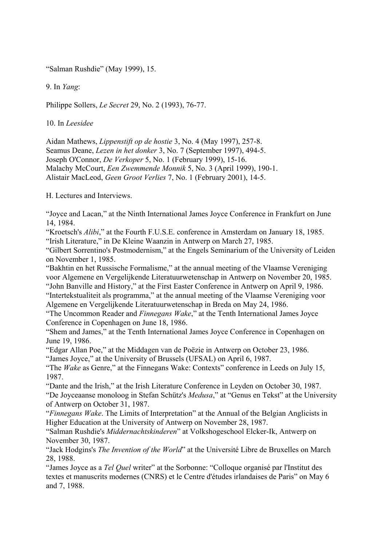"Salman Rushdie" (May 1999), 15.

9. In *Yang*:

Philippe Sollers, *Le Secret* 29, No. 2 (1993), 76-77.

10. In *Leesidee*

Aidan Mathews, *Lippenstift op de hostie* 3, No. 4 (May 1997), 257-8. Alistair MacLeod, *Geen Groot Verlies* 7, No. 1 (February 2001), 14-5. Seamus Deane, *Lezen in het donker* 3, No. 7 (September 1997), 494-5. Joseph O'Connor, *De Verkoper* 5, No. 1 (February 1999), 15-16. Malachy McCourt, *Een Zwemmende Monnik* 5, No. 3 (April 1999), 190-1.

H. Lectures and Interviews.

"Joyce and Lacan," at the Ninth International James Joyce Conference in Frankfurt on June 14, 1984.

"Kroetsch's *Alibi*," at the Fourth F.U.S.E. conference in Amsterdam on January 18, 1985. "Irish Literature," in De Kleine Waanzin in Antwerp on March 27, 1985.

on November 1, 1985. "Gilbert Sorrentino's Postmodernism," at the Engels Seminarium of the University of Leiden

"John Banville and History," at the First Easter Conference in Antwerp on April 9, 1986. "Bakhtin en het Russische Formalisme," at the annual meeting of the Vlaamse Vereniging voor Algemene en Vergelijkende Literatuurwetenschap in Antwerp on November 20, 1985.

Algemene en Vergelijkende Literatuurwetenschap in Breda on May 24, 1986. "Intertekstualiteit als programma," at the annual meeting of the Vlaamse Vereniging voor

Conference in Copenhagen on June 18, 1986. "The Uncommon Reader and *Finnegans Wake*," at the Tenth International James Joyce

"Shem and James," at the Tenth International James Joyce Conference in Copenhagen on June 19, 1986.

"Edgar Allan Poe," at the Middagen van de Poëzie in Antwerp on October 23, 1986.

"James Joyce," at the University of Brussels (UFSAL) on April 6, 1987.

"The *Wake* as Genre," at the Finnegans Wake: Contexts" conference in Leeds on July 15, 1987.

"De Joyceaanse monoloog in Stefan Schütz's *Medusa*," at "Genus en Tekst" at the University "Dante and the Irish," at the Irish Literature Conference in Leyden on October 30, 1987. of Antwerp on October 31, 1987.

"Finnegans Wake. The Limits of Interpretation" at the Annual of the Belgian Anglicists in Higher Education at the University of Antwerp on November 28, 1987.

"Salman Rushdie's Middernachtskinderen" at Volkshogeschool Elcker-Ik, Antwerp on November 30, 1987.

"Jack Hodgins's *The Invention of the World*" at the Université Libre de Bruxelles on March 28, 1988.

"James Joyce as a *Tel Quel* writer" at the Sorbonne: "Colloque organisé par l'Institut des textes et manuscrits modernes (CNRS) et le Centre d'études irlandaises de Paris" on May 6 and 7, 1988.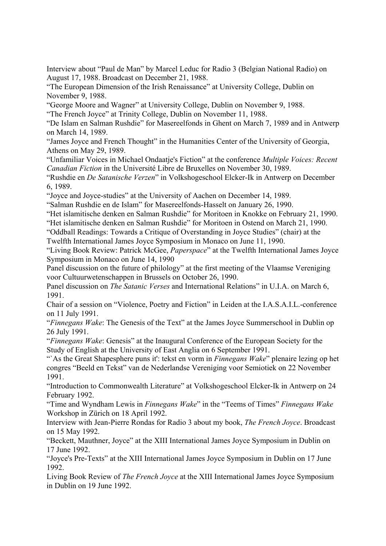Interview about "Paul de Man" by Marcel Leduc for Radio 3 (Belgian National Radio) on August 17, 1988. Broadcast on December 21, 1988.

"The European Dimension of the Irish Renaissance" at University College, Dublin on November 9, 1988.

"George Moore and Wagner" at University College, Dublin on November 9, 1988.

"The French Joyce" at Trinity College, Dublin on November 11, 1988.

"De Islam en Salman Rushdie" for Masereelfonds in Ghent on March 7, 1989 and in Antwerp on March 14, 1989.

"James Joyce and French Thought" in the Humanities Center of the University of Georgia, Athens on May 29, 1989.

"Unfamiliar Voices in Michael Ondaatje's Fiction" at the conference *Multiple Voices: Recent Canadian Fiction* in the Université Libre de Bruxelles on November 30, 1989.

"Rushdie en *De Satanische Verzen*" in Volkshogeschool Elcker-Ik in Antwerp on December 6, 1989.

"Joyce and Joyce-studies" at the University of Aachen on December 14, 1989.

"Salman Rushdie en de Islam" for Masereelfonds-Hasselt on January 26, 1990.

"Het islamitische denken en Salman Rushdie" for Moritoen in Knokke on February 21, 1990.

"Het islamitische denken en Salman Rushdie" for Moritoen in Ostend on March 21, 1990.

Twelfth International James Joyce Symposium in Monaco on June 11, 1990. "Oddball Readings: Towards a Critique of Overstanding in Joyce Studies" (chair) at the

"Living Book Review: Patrick McGee, *Paperspace*" at the Twelfth International James Joyce Symposium in Monaco on June 14, 1990

voor Cultuurwetenschappen in Brussels on October 26, 1990. Panel discussion on the future of philology" at the first meeting of the Vlaamse Vereniging

Panel discussion on *The Satanic Verses* and International Relations" in U.I.A. on March 6, 1991.

Chair of a session on "Violence, Poetry and Fiction" in Leiden at the I.A.S.A.I.L.-conference on 11 July 1991.

"Finnegans Wake: The Genesis of the Text" at the James Joyce Summerschool in Dublin op 26 July 1991.

"Finnegans Wake: Genesis" at the Inaugural Conference of the European Society for the Study of English at the University of East Anglia on 6 September 1991.

"As the Great Shapesphere puns it': tekst en vorm in *Finnegans Wake*" plenaire lezing op het congres "Beeld en Tekst" van de Nederlandse Vereniging voor Semiotiek on 22 November 1991.

"Introduction to Commonwealth Literature" at Volkshogeschool Elcker-Ik in Antwerp on 24 February 1992.

"Time and Wyndham Lewis in *Finnegans Wake*" in the "Teems of Times" *Finnegans Wake*  Workshop in Zürich on 18 April 1992.

Interview with Jean-Pierre Rondas for Radio 3 about my book, *The French Joyce*. Broadcast on 15 May 1992.

"Beckett, Mauthner, Joyce" at the XIII International James Joyce Symposium in Dublin on 17 June 1992.

"Joyce's Pre-Texts" at the XIII International James Joyce Symposium in Dublin on 17 June 1992.

Living Book Review of *The French Joyce* at the XIII International James Joyce Symposium in Dublin on 19 June 1992.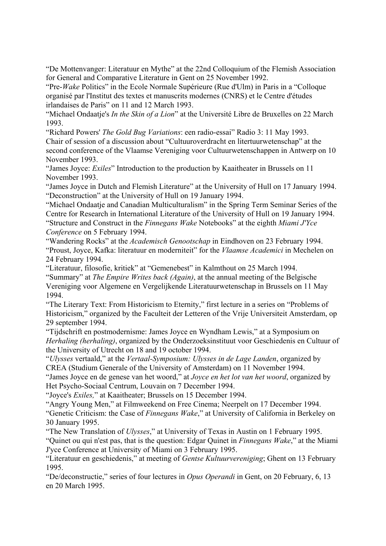"De Mottenvanger: Literatuur en Mythe" at the 22nd Colloquium of the Flemish Association for General and Comparative Literature in Gent on 25 November 1992.

irlandaises de Paris" on 11 and 12 March 1993. "Pre-*Wake* Politics" in the Ecole Normale Supérieure (Rue d'Ulm) in Paris in a "Colloque organisé par l'Institut des textes et manuscrits modernes (CNRS) et le Centre d'études

"Michael Ondaatje's *In the Skin of a Lion*" at the Université Libre de Bruxelles on 22 March 1993.

"Richard Powers' *The Gold Bug Variations*: een radio-essai" Radio 3: 11 May 1993. second conference of the Vlaamse Vereniging voor Cultuurwetenschappen in Antwerp on 10 Chair of session of a discussion about "Cultuuroverdracht en litertuurwetenschap" at the November 1993.

"James Joyce: *Exiles*" Introduction to the production by Kaaitheater in Brussels on 11 November 1993.

"James Joyce in Dutch and Flemish Literature" at the University of Hull on 17 January 1994. "Deconstruction" at the University of Hull on 19 January 1994.

"Michael Ondaatje and Canadian Multiculturalism" in the Spring Term Seminar Series of the Centre for Research in International Literature of the University of Hull on 19 January 1994. "Structure and Construct in the *Finnegans Wake* Notebooks" at the eighth *Miami J'Yce Conference* on 5 February 1994.

"Proust, Joyce, Kafka: literatuur en moderniteit" for the *Vlaamse Academici* in Mechelen on "Wandering Rocks" at the *Academisch Genootschap* in Eindhoven on 23 February 1994. 24 February 1994.

"Literatuur, filosofie, kritiek" at "Gemenebest" in Kalmthout on 25 March 1994. "Summary" at *The Empire Writes back (Again)*, at the annual meeting of the Belgische Vereniging voor Algemene en Vergelijkende Literatuurwetenschap in Brussels on 11 May 1994.

Historicism," organized by the Faculteit der Letteren of the Vrije Universiteit Amsterdam, op "The Literary Text: From Historicism to Eternity," first lecture in a series on "Problems of 29 september 1994.

"Tijdschrift en postmodernisme: James Joyce en Wyndham Lewis," at a Symposium on Herhaling (herhaling), organized by the Onderzoeksinstituut voor Geschiedenis en Cultuur of the University of Utrecht on 18 and 19 october 1994.

"*Ulysses* vertaald," at the *Vertaal-Symposium: Ulysses in de Lage Landen*, organized by CREA (Studium Generale of the University of Amsterdam) on 11 November 1994.

"James Joyce en de genese van het woord," at *Joyce en het lot van het woord*, organized by Het Psycho-Sociaal Centrum, Louvain on 7 December 1994.

"Joyce's *Exiles*," at Kaaitheater; Brussels on 15 December 1994.

"Genetic Criticism: the Case of *Finnegans Wake*," at University of California in Berkeley on "Angry Young Men," at Filmweekend on Free Cinema; Neerpelt on 17 December 1994. 30 January 1995.

"The New Translation of *Ulysses*," at University of Texas in Austin on 1 February 1995.

"Quinet ou qui n'est pas, that is the question: Edgar Quinet in *Finnegans Wake*," at the Miami J'yce Conference at University of Miami on 3 February 1995.

"Literatuur en geschiedenis," at meeting of *Gentse Kultuurvereniging*; Ghent on 13 February 1995.

"De/deconstructie," series of four lectures in *Opus Operandi* in Gent, on 20 February, 6, 13 en 20 March 1995.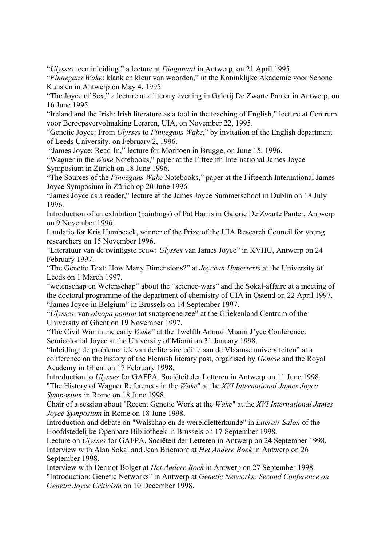"*Ulysses*: een inleiding," a lecture at *Diagonaal* in Antwerp, on 21 April 1995.

"Finnegans Wake: klank en kleur van woorden," in the Koninklijke Akademie voor Schone Kunsten in Antwerp on May 4, 1995.

"The Joyce of Sex," a lecture at a literary evening in Galerij De Zwarte Panter in Antwerp, on 16 June 1995.

"Ireland and the Irish: Irish literature as a tool in the teaching of English," lecture at Centrum voor Beroepsvervolmaking Leraren, UIA, on November 22, 1995.

"Genetic Joyce: From *Ulysses* to *Finnegans Wake*," by invitation of the English department of Leeds University, on February 2, 1996.

"James Joyce: Read-In," lecture for Moritoen in Brugge, on June 15, 1996.

"Wagner in the *Wake* Notebooks," paper at the Fifteenth International James Joyce Symposium in Zürich on 18 June 1996.

"The Sources of the *Finnegans Wake* Notebooks," paper at the Fifteenth International James Joyce Symposium in Zürich op 20 June 1996.

"James Joyce as a reader," lecture at the James Joyce Summerschool in Dublin on 18 July 1996.

Introduction of an exhibition (paintings) of Pat Harris in Galerie De Zwarte Panter, Antwerp on 9 November 1996.

Laudatio for Kris Humbeeck, winner of the Prize of the UIA Research Council for young researchers on 15 November 1996.

"Literatuur van de twintigste eeuw: *Ulysses* van James Joyce" in KVHU, Antwerp on 24 February 1997.

"The Genetic Text: How Many Dimensions?" at *Joycean Hypertexts* at the University of Leeds on 1 March 1997.

"wetenschap en Wetenschap" about the "science-wars" and the Sokal-affaire at a meeting of "James Joyce in Belgium" in Brussels on 14 September 1997. the doctoral programme of the department of chemistry of UIA in Ostend on 22 April 1997.

"*Ulysses*: van *oinopa ponton* tot snotgroene zee" at the Griekenland Centrum of the University of Ghent on 19 November 1997.

Semicolonial Joyce at the University of Miami on 31 January 1998. "The Civil War in the early *Wake*" at the Twelfth Annual Miami J'yce Conference:

conference on the history of the Flemish literary past, organised by *Genese* and the Royal "Inleiding: de problematiek van de literaire editie aan de Vlaamse universiteiten" at a Academy in Ghent on 17 February 1998.

Introduction to *Ulysses* for GAFPA, Sociëteit der Letteren in Antwerp on 11 June 1998. "The History of Wagner References in the *Wake*" at the *XVI International James Joyce Symposium* in Rome on 18 June 1998.

Chair of a session about "Recent Genetic Work at the *Wake*" at the *XVI International James Joyce Symposium* in Rome on 18 June 1998.

Introduction and debate on "Walschap en de wereldletterkunde" in *Literair Salon* of the Hoofdstedelijke Openbare Bibliotheek in Brussels on 17 September 1998.

Lecture on *Ulysses* for GAFPA, Sociëteit der Letteren in Antwerp on 24 September 1998. Interview with Alan Sokal and Jean Bricmont at *Het Andere Boek* in Antwerp on 26 September 1998.

"Introduction: Genetic Networks" in Antwerp at Genetic Networks: Second Conference on *Genetic Joyce Criticism* on 10 December 1998. Interview with Dermot Bolger at *Het Andere Boek* in Antwerp on 27 September 1998.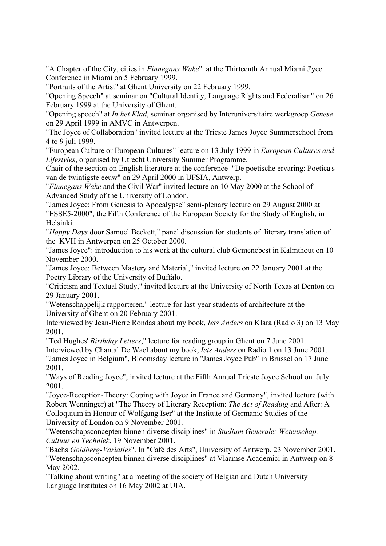"A Chapter of the City, cities in *Finnegans Wake*" at the Thirteenth Annual Miami J'yce Conference in Miami on 5 February 1999.

"Portraits of the Artist" at Ghent University on 22 February 1999.

"Opening Speech" at seminar on "Cultural Identity, Language Rights and Federalism" on 26 February 1999 at the University of Ghent.

"Opening speech" at *In het Klad*, seminar organised by Interuniversitaire werkgroep *Genese* on 29 April 1999 in AMVC in Antwerpen.

"The Joyce of Collaboration" invited lecture at the Trieste James Joyce Summerschool from 4 to 9 juli 1999.

"European Culture or European Cultures" lecture on 13 July 1999 in *European Cultures and Lifestyles*, organised by Utrecht University Summer Programme.

Chair of the section on English literature at the conference "De poëtische ervaring: Poëtica's van de twintigste eeuw" on 29 April 2000 in UFSIA, Antwerp.

"Finnegans Wake and the Civil War" invited lecture on 10 May 2000 at the School of Advanced Study of the University of London.

"James Joyce: From Genesis to Apocalypse" semi-plenary lecture on 29 August 2000 at "ESSE5-2000", the Fifth Conference of the European Society for the Study of English, in Helsinki.

"*Happy Days* door Samuel Beckett," panel discussion for students of literary translation of the KVH in Antwerpen on 25 October 2000.

"James Joyce": introduction to his work at the cultural club Gemenebest in Kalmthout on 10 November 2000.

"James Joyce: Between Mastery and Material," invited lecture on 22 January 2001 at the Poetry Library of the University of Buffalo.

"Criticism and Textual Study," invited lecture at the University of North Texas at Denton on 29 January 2001.

"Wetenschappelijk rapporteren," lecture for last-year students of architecture at the University of Ghent on 20 February 2001.

Interviewed by Jean-Pierre Rondas about my book, *Iets Anders* on Klara (Radio 3) on 13 May 2001.

Interviewed by Chantal De Wael about my book, *Iets Anders* on Radio 1 on 13 June 2001. "Ted Hughes' *Birthday Letters*," lecture for reading group in Ghent on 7 June 2001. "James Joyce in Belgium", Bloomsday lecture in "James Joyce Pub" in Brussel on 17 June 2001.

"Ways of Reading Joyce", invited lecture at the Fifth Annual Trieste Joyce School on July 2001.

"Joyce-Reception-Theory: Coping with Joyce in France and Germany", invited lecture (with University of London on 9 November 2001. Robert Wenninger) at "The Theory of Literary Reception: *The Act of Reading* and After: A Colloquium in Honour of Wolfgang Iser" at the Institute of Germanic Studies of the

2001. *Cultuur en Techniek*. 19 November "Wetenschapsconcepten binnen diverse disciplines" in *Studium Generale: Wetenschap,* 

. "Bachs *Goldberg-Variaties*". In "Café des Arts", University of Antwerp. 23 November 2001 "Wetenschapsconcepten binnen diverse disciplines" at Vlaamse Academici in Antwerp on 8 May 2002.

"Talking about writing" at a meeting of the society of Belgian and Dutch University Language Institutes on 16 May 2002 at UIA.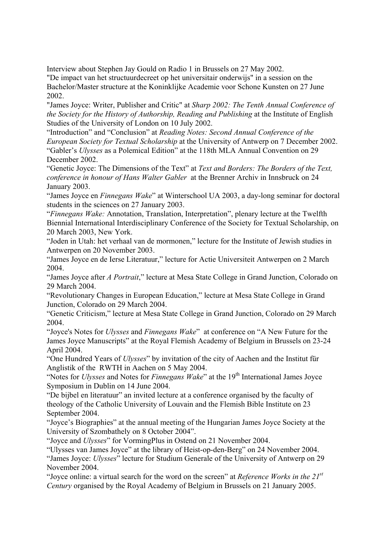Interview about Stephen Jay Gould on Radio 1 in Brussels on 27 May 2002.

"De impact van het structuurdecreet op het universitair onderwijs" in a session on the Bachelor/Master structure at the Koninklijke Academie voor Schone Kunsten on 27 June 2002.

"James Joyce: Writer, Publisher and Critic" at *Sharp 2002: The Tenth Annual Conference of* the Society for the History of Authorship, Reading and Publishing at the Institute of English . Studies of the University of London on 10 July 2002

*European Society for Textual Scholarship* at the University of Antwerp on 7 December 2002. "Introduction" and "Conclusion" at *Reading Notes: Second Annual Conference of the*  "Gabler's *Ulysses* as a Polemical Edition" at the 118th MLA Annual Convention on 29 December 2002.

"Genetic Joyce: The Dimensions of the Text" at *Text and Borders: The Borders of the Text*, *conference in honour of Hans Walter Gabler* at the Brenner Archiv in Innsbruck on 24 January 2003.

"James Joyce en *Finnegans Wake*" at Winterschool UA 2003, a day-long seminar for doctoral students in the sciences on 27 January 2003.

Biennial International Interdisciplinary Conference of the Society for Textual Scholarship, on "*Finnegans Wake:* Annotation, Translation, Interpretation", plenary lecture at the Twelfth 20 March 2003, New York.

"Joden in Utah: het verhaal van de mormonen," lecture for the Institute of Jewish studies in Antwerpen on 20 November 2003.

"James Joyce en de Ierse Literatuur," lecture for Actie Universiteit Antwerpen on 2 March 2004.

"James Joyce after *A Portrait*," lecture at Mesa State College in Grand Junction, Colorado on 29 March 2004.

"Revolutionary Changes in European Education," lecture at Mesa State College in Grand Junction, Colorado on 29 March 2004.

"Genetic Criticism," lecture at Mesa State College in Grand Junction, Colorado on 29 March 2004.

James Joyce Manuscripts" at the Royal Flemish Academy of Belgium in Brussels on 23-24 "Joyce's Notes for *Ulysses* and *Finnegans Wake*" at conference on "A New Future for the April 2004.

"One Hundred Years of *Ulysses*" by invitation of the city of Aachen and the Institut für Anglistik of the RWTH in Aachen on 5 May 2004.

"Notes for *Ulysses* and Notes for *Finnegans Wake*" at the 19<sup>th</sup> International James Joyce Symposium in Dublin on 14 June 2004.

theology of the Catholic University of Louvain and the Flemish Bible Institute on 23 "De bijbel en literatuur" an invited lecture at a conference organised by the faculty of September 2004.

"Joyce's Biographies" at the annual meeting of the Hungarian James Joyce Society at the University of Szombathely on 8 October 2004".

"Joyce and *Ulysses*" for VormingPlus in Ostend on 21 November 2004.

"Ulysses van James Joyce" at the library of Heist-op-den-Berg" on 24 November 2004.

"James Joyce: *Ulysses*" lecture for Studium Generale of the University of Antwerp on 29 November 2004.

"Joyce online: a virtual search for the word on the screen" at *Reference Works in the 21<sup>st</sup> Century* organised by the Royal Academy of Belgium in Brussels on 21 January 2005.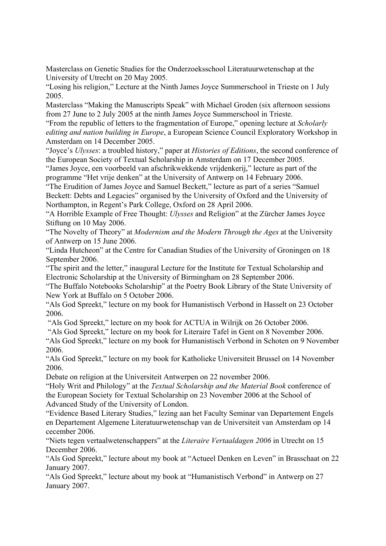Masterclass on Genetic Studies for the Onderzoeksschool Literatuurwetenschap at the University of Utrecht on 20 May 2005.

"Losing his religion," Lecture at the Ninth James Joyce Summerschool in Trieste on 1 July 2005.

from 27 June to 2 July 2005 at the ninth James Joyce Summerschool in Trieste. Masterclass "Making the Manuscripts Speak" with Michael Groden (six afternoon sessions

"From the republic of letters to the fragmentation of Europe," opening lecture at *Scholarly* editing and nation building in Europe, a European Science Council Exploratory Workshop in Amsterdam on 14 December 2005.

"Joyce's *Ulysses*: a troubled history," paper at *Histories of Editions*, the second conference of the European Society of Textual Scholarship in Amsterdam on 17 December 2005.

programme "Het vrije denken" at the University of Antwerp on 14 February 2006. "James Joyce, een voorbeeld van afschrikwekkende vrijdenkerij," lecture as part of the

Beckett: Debts and Legacies" organised by the University of Oxford and the University of "The Erudition of James Joyce and Samuel Beckett," lecture as part of a series "Samuel Northampton, in Regent's Park College, Oxford on 28 April 2006.

"A Horrible Example of Free Thought: *Ulysses* and Religion" at the Zürcher James Joyce Stiftung on 10 May 2006.

"The Novelty of Theory" at *Modernism and the Modern Through the Ages* at the University of Antwerp on 15 June 2006.

"Linda Hutcheon" at the Centre for Canadian Studies of the University of Groningen on 18 September 2006.

"The spirit and the letter," inaugural Lecture for the Institute for Textual Scholarship and Electronic Scholarship at the University of Birmingham on 28 September 2006.

"The Buffalo Notebooks Scholarship" at the Poetry Book Library of the State University of New York at Buffalo on 5 October 2006.

"Als God Spreekt," lecture on my book for Humanistisch Verbond in Hasselt on 23 October 2006.

"Als God Spreekt," lecture on my book for ACTUA in Wilrijk on 26 October 2006.

"Als God Spreekt," lecture on my book for Literaire Tafel in Gent on 8 November 2006.

"Als God Spreekt," lecture on my book for Humanistisch Verbond in Schoten on 9 November 2006.

"Als God Spreekt," lecture on my book for Katholieke Universiteit Brussel on 14 November 2006.

Debate on religion at the Universiteit Antwerpen on 22 november 2006.

"Holy Writ and Philology" at the *Textual Scholarship and the Material Book* conference of Advanced Study of the University of London. the European Society for Textual Scholarship on 23 November 2006 at the School of

"Evidence Based Literary Studies," lezing aan het Faculty Seminar van Departement Engels 4 en Departement Algemene Literatuurwetenschap van de Universiteit van Amsterdam op 1 cecember 2006.

December 2006. "Niets tegen vertaalwetenschappers" at the *Literaire Vertaaldagen 2006* in Utrecht on 15

"Als God Spreekt," lecture about my book at "Actueel Denken en Leven" in Brasschaat on 22 January 2007.

"Als God Spreekt," lecture about my book at "Humanistisch Verbond" in Antwerp on 27 January 2007.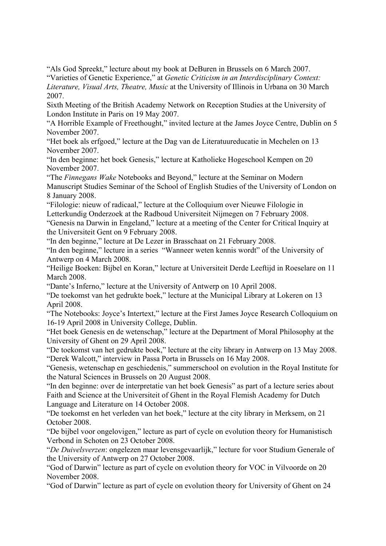"Als God Spreekt," lecture about my book at DeBuren in Brussels on 6 March 2007.

"Varieties of Genetic Experience," at *Genetic Criticism in an Interdisciplinary Context: Literature, Visual Arts, Theatre, Music* at the University of Illinois in Urbana on 30 March 2007.

Sixth Meeting of the British Academy Network on Reception Studies at the University of London Institute in Paris on 19 May 2007.

"A Horrible Example of Freethought," invited lecture at the James Joyce Centre, Dublin on 5 November 2007.

"Het boek als erfgoed," lecture at the Dag van de Literatuureducatie in Mechelen on 13 November 2007.

"In den beginne: het boek Genesis," lecture at Katholieke Hogeschool Kempen on 20 November 2007.

"The *Finnegans Wake* Notebooks and Beyond," lecture at the Seminar on Modern Manuscript Studies Seminar of the School of English Studies of the University of London on 8 January 2008.

Letterkundig Onderzoek at the Radboud Universiteit Nijmegen on 7 February 2008. "Filologie: nieuw of radicaal," lecture at the Colloquium over Nieuwe Filologie in

the Universiteit Gent on 9 February 2008. "Genesis na Darwin in Engeland," lecture at a meeting of the Center for Critical Inquiry at

"In den beginne," lecture at De Lezer in Brasschaat on 21 February 2008.

"In den beginne," lecture in a series "Wanneer weten kennis wordt" of the University of Antwerp on 4 March 2008.

"Heilige Boeken: Bijbel en Koran," lecture at Universiteit Derde Leeftijd in Roeselare on 11 March 2008.

"Dante's Inferno," lecture at the University of Antwerp on 10 April 2008.

"De toekomst van het gedrukte boek," lecture at the Municipal Library at Lokeren on 13 April 2008.

16-19 April 2008 in University College, Dublin. "The Notebooks: Joyce's Intertext," lecture at the First James Joyce Research Colloquium on

"Het boek Genesis en de wetenschap," lecture at the Department of Moral Philosophy at the University of Ghent on 29 April 2008.

"De toekomst van het gedrukte boek," lecture at the city library in Antwerp on 13 May 2008. Derek Walcott," interview in Passa Porta in Brussels on 16 May 2008. "

Genesis, wetenschap en geschiedenis," summerschool on evolution in the Royal Institute for " the Natural Sciences in Brussels on 20 August 2008.

"In den beginne: over de interpretatie van het boek Genesis" as part of a lecture series about Faith and Science at the Universiteit of Ghent in the Royal Flemish Academy for Dutch Language and Literature on 14 October 2008.

"De toekomst en het verleden van het boek," lecture at the city library in Merksem, on 21 October 2008.

"De bijbel voor ongelovigen," lecture as part of cycle on evolution theory for Humanistisch Verbond in Schoten on 23 October 2008.

"*De Duivelsverzen*: ongelezen maar levensgevaarlijk," lecture for voor Studium Generale of the University of Antwerp on 27 October 2008.

"God of Darwin" lecture as part of cycle on evolution theory for VOC in Vilvoorde on 20 November 2008.

"God of Darwin" lecture as part of cycle on evolution theory for University of Ghent on 24